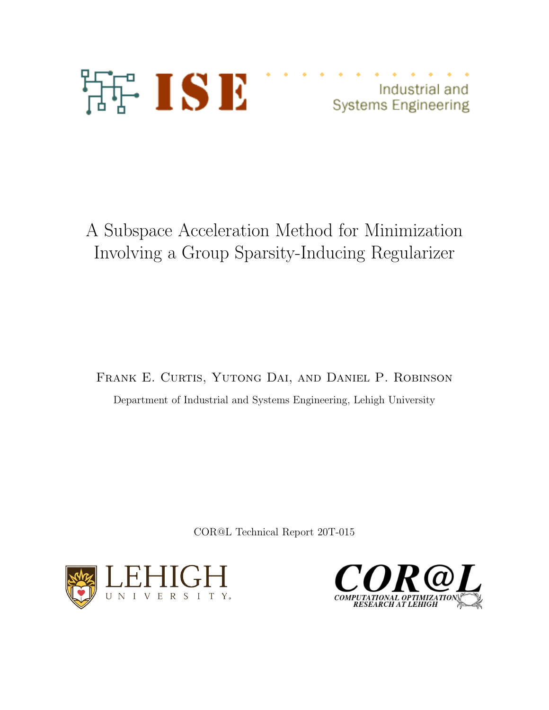

Industrial and **Systems Engineering** 

# A Subspace Acceleration Method for Minimization Involving a Group Sparsity-Inducing Regularizer

Frank E. Curtis, Yutong Dai, and Daniel P. Robinson Department of Industrial and Systems Engineering, Lehigh University

COR@L Technical Report 20T-015



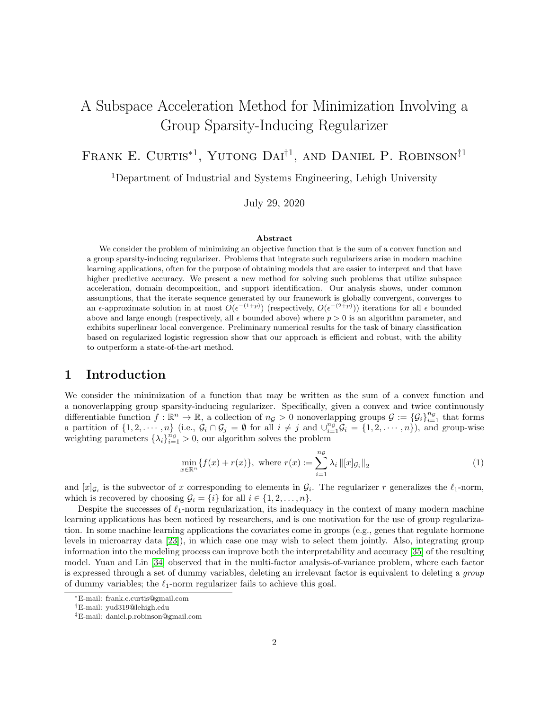## A Subspace Acceleration Method for Minimization Involving a Group Sparsity-Inducing Regularizer

FRANK E. CURTIS<sup>\*1</sup>, YUTONG DAI<sup>†1</sup>, AND DANIEL P. ROBINSON<sup>‡1</sup>

<sup>1</sup>Department of Industrial and Systems Engineering, Lehigh University

July 29, 2020

#### Abstract

We consider the problem of minimizing an objective function that is the sum of a convex function and a group sparsity-inducing regularizer. Problems that integrate such regularizers arise in modern machine learning applications, often for the purpose of obtaining models that are easier to interpret and that have higher predictive accuracy. We present a new method for solving such problems that utilize subspace acceleration, domain decomposition, and support identification. Our analysis shows, under common assumptions, that the iterate sequence generated by our framework is globally convergent, converges to an  $\epsilon$ -approximate solution in at most  $O(\epsilon^{-(1+p)})$  (respectively,  $O(\epsilon^{-(2+p)})$ ) iterations for all  $\epsilon$  bounded above and large enough (respectively, all  $\epsilon$  bounded above) where  $p > 0$  is an algorithm parameter, and exhibits superlinear local convergence. Preliminary numerical results for the task of binary classification based on regularized logistic regression show that our approach is efficient and robust, with the ability to outperform a state-of-the-art method.

## 1 Introduction

We consider the minimization of a function that may be written as the sum of a convex function and a nonoverlapping group sparsity-inducing regularizer. Specifically, given a convex and twice continuously differentiable function  $f : \mathbb{R}^n \to \mathbb{R}$ , a collection of  $n_{\mathcal{G}} > 0$  nonoverlapping groups  $\mathcal{G} := {\{\mathcal{G}_i\}}_{i=1}^{n_{\mathcal{G}}}$  that forms a partition of  $\{1, 2, \dots, n\}$  (i.e.,  $\mathcal{G}_i \cap \mathcal{G}_j = \emptyset$  for all  $i \neq j$  and  $\bigcup_{i=1}^{n_{\mathcal{G}}} \mathcal{G}_i = \{1, 2, \dots, n\}$ ), and group-wise weighting parameters  $\{\lambda_i\}_{i=1}^{n_{\mathcal{G}}}>0$ , our algorithm solves the problem

<span id="page-1-0"></span>
$$
\min_{x \in \mathbb{R}^n} \{ f(x) + r(x) \}, \text{ where } r(x) := \sum_{i=1}^{n_{\mathcal{G}}} \lambda_i \| [x]_{\mathcal{G}_i} \|_2 \tag{1}
$$

and  $[x]_{\mathcal{G}_i}$  is the subvector of x corresponding to elements in  $\mathcal{G}_i$ . The regularizer r generalizes the  $\ell_1$ -norm, which is recovered by choosing  $\mathcal{G}_i = \{i\}$  for all  $i \in \{1, 2, ..., n\}$ .

Despite the successes of  $\ell_1$ -norm regularization, its inadequacy in the context of many modern machine learning applications has been noticed by researchers, and is one motivation for the use of group regularization. In some machine learning applications the covariates come in groups (e.g., genes that regulate hormone levels in microarray data [\[23\]](#page-26-0)), in which case one may wish to select them jointly. Also, integrating group information into the modeling process can improve both the interpretability and accuracy [\[35\]](#page-27-0) of the resulting model. Yuan and Lin [\[34\]](#page-27-1) observed that in the multi-factor analysis-of-variance problem, where each factor is expressed through a set of dummy variables, deleting an irrelevant factor is equivalent to deleting a group of dummy variables; the  $\ell_1$ -norm regularizer fails to achieve this goal.

<sup>∗</sup>E-mail: frank.e.curtis@gmail.com

<sup>†</sup>E-mail: yud319@lehigh.edu

<sup>‡</sup>E-mail: daniel.p.robinson@gmail.com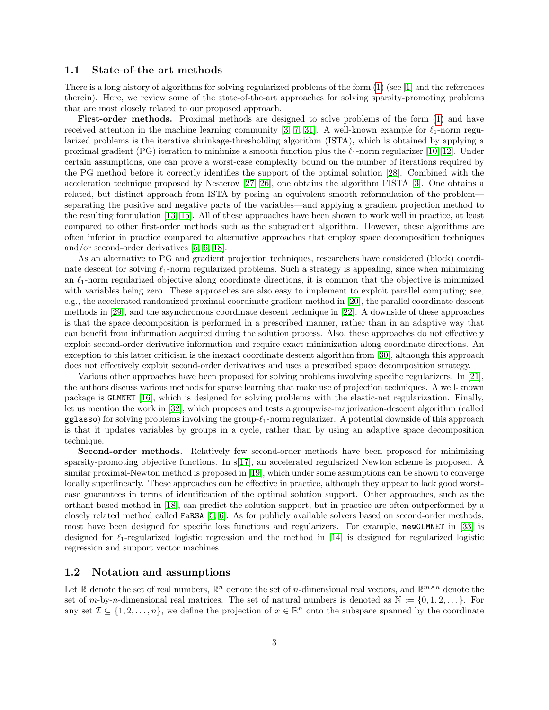#### 1.1 State-of-the art methods

There is a long history of algorithms for solving regularized problems of the form  $(1)$  (see [\[1\]](#page-25-0) and the references therein). Here, we review some of the state-of-the-art approaches for solving sparsity-promoting problems that are most closely related to our proposed approach.

First-order methods. Proximal methods are designed to solve problems of the form [\(1\)](#page-1-0) and have received attention in the machine learning community [\[3,](#page-25-1) [7,](#page-26-1) [31\]](#page-27-2). A well-known example for  $\ell_1$ -norm regularized problems is the iterative shrinkage-thresholding algorithm (ISTA), which is obtained by applying a proximal gradient (PG) iteration to minimize a smooth function plus the  $\ell_1$ -norm regularizer [\[10,](#page-26-2) [12\]](#page-26-3). Under certain assumptions, one can prove a worst-case complexity bound on the number of iterations required by the PG method before it correctly identifies the support of the optimal solution [\[28\]](#page-27-3). Combined with the acceleration technique proposed by Nesterov [\[27,](#page-27-4) [26\]](#page-27-5), one obtains the algorithm FISTA [\[3\]](#page-25-1). One obtains a related, but distinct approach from ISTA by posing an equivalent smooth reformulation of the problem separating the positive and negative parts of the variables—and applying a gradient projection method to the resulting formulation [\[13,](#page-26-4) [15\]](#page-26-5). All of these approaches have been shown to work well in practice, at least compared to other first-order methods such as the subgradient algorithm. However, these algorithms are often inferior in practice compared to alternative approaches that employ space decomposition techniques and/or second-order derivatives [\[5,](#page-26-6) [6,](#page-26-7) [18\]](#page-26-8).

As an alternative to PG and gradient projection techniques, researchers have considered (block) coordinate descent for solving  $\ell_1$ -norm regularized problems. Such a strategy is appealing, since when minimizing an  $\ell_1$ -norm regularized objective along coordinate directions, it is common that the objective is minimized with variables being zero. These approaches are also easy to implement to exploit parallel computing; see, e.g., the accelerated randomized proximal coordinate gradient method in [\[20\]](#page-26-9), the parallel coordinate descent methods in [\[29\]](#page-27-6), and the asynchronous coordinate descent technique in [\[22\]](#page-26-10). A downside of these approaches is that the space decomposition is performed in a prescribed manner, rather than in an adaptive way that can benefit from information acquired during the solution process. Also, these approaches do not effectively exploit second-order derivative information and require exact minimization along coordinate directions. An exception to this latter criticism is the inexact coordinate descent algorithm from [\[30\]](#page-27-7), although this approach does not effectively exploit second-order derivatives and uses a prescribed space decomposition strategy.

Various other approaches have been proposed for solving problems involving specific regularizers. In [\[21\]](#page-26-11), the authors discuss various methods for sparse learning that make use of projection techniques. A well-known package is GLMNET [\[16\]](#page-26-12), which is designed for solving problems with the elastic-net regularization. Finally, let us mention the work in [\[32\]](#page-27-8), which proposes and tests a groupwise-majorization-descent algorithm (called  $gg$ lasso) for solving problems involving the group- $\ell_1$ -norm regularizer. A potential downside of this approach is that it updates variables by groups in a cycle, rather than by using an adaptive space decomposition technique.

Second-order methods. Relatively few second-order methods have been proposed for minimizing sparsity-promoting objective functions. In s[\[17\]](#page-26-13), an accelerated regularized Newton scheme is proposed. A similar proximal-Newton method is proposed in [\[19\]](#page-26-14), which under some assumptions can be shown to converge locally superlinearly. These approaches can be effective in practice, although they appear to lack good worstcase guarantees in terms of identification of the optimal solution support. Other approaches, such as the orthant-based method in [\[18\]](#page-26-8), can predict the solution support, but in practice are often outperformed by a closely related method called FaRSA [\[5,](#page-26-6) [6\]](#page-26-7). As for publicly available solvers based on second-order methods, most have been designed for specific loss functions and regularizers. For example, newGLMNET in [\[33\]](#page-27-9) is designed for  $\ell_1$ -regularized logistic regression and the method in [\[14\]](#page-26-15) is designed for regularized logistic regression and support vector machines.

#### 1.2 Notation and assumptions

Let R denote the set of real numbers,  $\mathbb{R}^n$  denote the set of *n*-dimensional real vectors, and  $\mathbb{R}^{m \times n}$  denote the set of m-by-n-dimensional real matrices. The set of natural numbers is denoted as  $\mathbb{N} := \{0, 1, 2, \ldots\}$ . For any set  $\mathcal{I} \subseteq \{1, 2, ..., n\}$ , we define the projection of  $x \in \mathbb{R}^n$  onto the subspace spanned by the coordinate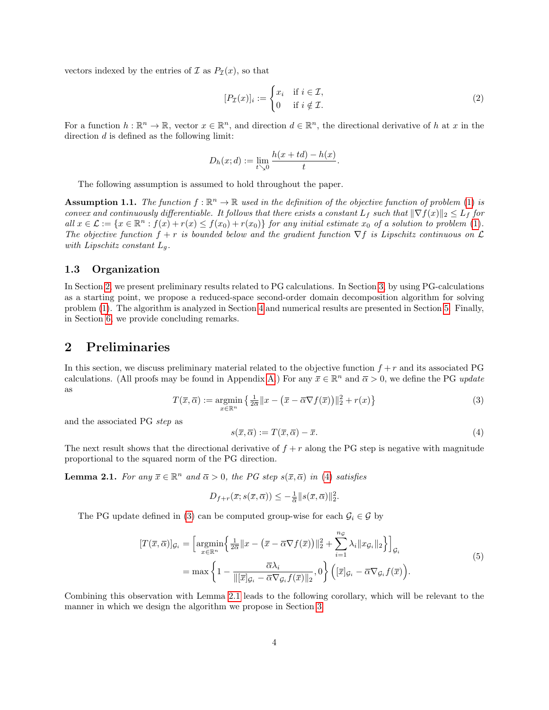vectors indexed by the entries of  $\mathcal I$  as  $P_{\mathcal I}(x)$ , so that

<span id="page-3-4"></span>
$$
[P_{\mathcal{I}}(x)]_i := \begin{cases} x_i & \text{if } i \in \mathcal{I}, \\ 0 & \text{if } i \notin \mathcal{I}. \end{cases} \tag{2}
$$

For a function  $h : \mathbb{R}^n \to \mathbb{R}$ , vector  $x \in \mathbb{R}^n$ , and direction  $d \in \mathbb{R}^n$ , the directional derivative of h at x in the direction  $d$  is defined as the following limit:

$$
D_h(x; d) := \lim_{t \searrow 0} \frac{h(x + td) - h(x)}{t}.
$$

The following assumption is assumed to hold throughout the paper.

<span id="page-3-5"></span>**Assumption 1.1.** The function  $f : \mathbb{R}^n \to \mathbb{R}$  used in the definition of the objective function of problem [\(1\)](#page-1-0) is convex and continuously differentiable. It follows that there exists a constant  $L_f$  such that  $\|\nabla f(x)\|_2 \leq L_f$  for all  $x \in \mathcal{L} := \{x \in \mathbb{R}^n : f(x) + r(x) \leq f(x_0) + r(x_0)\}$  for any initial estimate  $x_0$  of a solution to problem [\(1\)](#page-1-0). The objective function  $f + r$  is bounded below and the gradient function  $\nabla f$  is Lipschitz continuous on  $\mathcal L$ with Lipschitz constant  $L_q$ .

#### 1.3 Organization

In Section [2,](#page-3-0) we present preliminary results related to PG calculations. In Section [3,](#page-4-0) by using PG-calculations as a starting point, we propose a reduced-space second-order domain decomposition algorithm for solving problem [\(1\)](#page-1-0). The algorithm is analyzed in Section [4](#page-8-0) and numerical results are presented in Section [5.](#page-19-0) Finally, in Section [6,](#page-23-0) we provide concluding remarks.

## <span id="page-3-0"></span>2 Preliminaries

In this section, we discuss preliminary material related to the objective function  $f + r$  and its associated PG calculations. (All proofs may be found in Appendix [A.](#page-23-1)) For any  $\bar{x} \in \mathbb{R}^n$  and  $\bar{\alpha} > 0$ , we define the PG update as

<span id="page-3-2"></span>
$$
T(\overline{x}, \overline{\alpha}) := \underset{x \in \mathbb{R}^n}{\operatorname{argmin}} \left\{ \frac{1}{2\overline{\alpha}} \|x - (\overline{x} - \overline{\alpha} \nabla f(\overline{x}))\|_2^2 + r(x) \right\} \tag{3}
$$

and the associated PG step as

<span id="page-3-1"></span>
$$
s(\overline{x}, \overline{\alpha}) := T(\overline{x}, \overline{\alpha}) - \overline{x}.
$$
\n(4)

The next result shows that the directional derivative of  $f + r$  along the PG step is negative with magnitude proportional to the squared norm of the PG direction.

<span id="page-3-3"></span>**Lemma 2.1.** For any  $\bar{x} \in \mathbb{R}^n$  and  $\bar{\alpha} > 0$ , the PG step  $s(\bar{x}, \bar{\alpha})$  in [\(4\)](#page-3-1) satisfies

$$
D_{f+r}(\overline{x}; s(\overline{x}, \overline{\alpha})) \leq -\frac{1}{\overline{\alpha}} ||s(\overline{x}, \overline{\alpha})||_2^2.
$$

The PG update defined in [\(3\)](#page-3-2) can be computed group-wise for each  $\mathcal{G}_i \in \mathcal{G}$  by

<span id="page-3-6"></span>
$$
[T(\overline{x}, \overline{\alpha})]_{\mathcal{G}_i} = \left[\underset{x \in \mathbb{R}^n}{\operatorname{argmin}} \left\{ \frac{1}{2\overline{\alpha}} \|x - (\overline{x} - \overline{\alpha} \nabla f(\overline{x}))\|_2^2 + \sum_{i=1}^{n_{\mathcal{G}}} \lambda_i \|x_{\mathcal{G}_i}\|_2 \right\} \right]_{\mathcal{G}_i}
$$
  
= max 
$$
\left\{ 1 - \frac{\overline{\alpha} \lambda_i}{\|[\overline{x}]_{\mathcal{G}_i} - \overline{\alpha} \nabla_{\mathcal{G}_i} f(\overline{x})\|_2}, 0 \right\} \left( [\overline{x}]_{\mathcal{G}_i} - \overline{\alpha} \nabla_{\mathcal{G}_i} f(\overline{x}) \right).
$$
 (5)

Combining this observation with Lemma [2.1](#page-3-3) leads to the following corollary, which will be relevant to the manner in which we design the algorithm we propose in Section [3.](#page-4-0)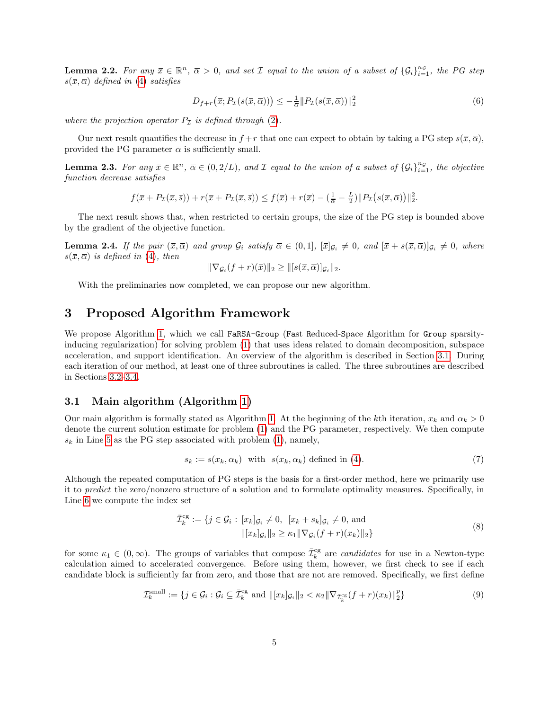<span id="page-4-5"></span>**Lemma 2.2.** For any  $\bar{x} \in \mathbb{R}^n$ ,  $\bar{\alpha} > 0$ , and set  $\mathcal{I}$  equal to the union of a subset of  $\{G_i\}_{i=1}^{n_{\mathcal{G}}}$ , the PG step  $s(\bar{x}, \bar{\alpha})$  defined in [\(4\)](#page-3-1) satisfies

$$
D_{f+r}(\overline{x}; P_{\mathcal{I}}(s(\overline{x}, \overline{\alpha}))) \leq -\frac{1}{\overline{\alpha}} \| P_{\mathcal{I}}(s(\overline{x}, \overline{\alpha})) \|_{2}^{2}
$$
(6)

where the projection operator  $P_{\mathcal{I}}$  is defined through [\(2\)](#page-3-4).

Our next result quantifies the decrease in  $f + r$  that one can expect to obtain by taking a PG step  $s(\bar{x}, \bar{\alpha})$ , provided the PG parameter  $\bar{\alpha}$  is sufficiently small.

<span id="page-4-3"></span>**Lemma 2.3.** For any  $\bar{x} \in \mathbb{R}^n$ ,  $\bar{\alpha} \in (0, 2/L)$ , and  $\bar{x}$  equal to the union of a subset of  $\{G_i\}_{i=1}^{n_{\mathcal{G}}}$ , the objective function decrease satisfies

$$
f(\overline{x}+P_{\mathcal{I}}(\overline{x},\overline{s}))+r(\overline{x}+P_{\mathcal{I}}(\overline{x},\overline{s}))\leq f(\overline{x})+r(\overline{x})-(\frac{1}{\overline{\alpha}}-\frac{L}{2})\|P_{\mathcal{I}}(s(\overline{x},\overline{\alpha}))\|_2^2.
$$

The next result shows that, when restricted to certain groups, the size of the PG step is bounded above by the gradient of the objective function.

<span id="page-4-6"></span>**Lemma 2.4.** If the pair  $(\bar{x}, \bar{\alpha})$  and group  $\mathcal{G}_i$  satisfy  $\bar{\alpha} \in (0, 1]$ ,  $[\bar{x}]_{\mathcal{G}_i} \neq 0$ , and  $[\bar{x} + s(\bar{x}, \bar{\alpha})]_{\mathcal{G}_i} \neq 0$ , where  $s(\bar{x}, \bar{\alpha})$  is defined in [\(4\)](#page-3-1), then

$$
\|\nabla_{\mathcal{G}_i}(f+r)(\overline{x})\|_2 \geq \|[s(\overline{x},\overline{\alpha})]_{\mathcal{G}_i}\|_2.
$$

With the preliminaries now completed, we can propose our new algorithm.

## <span id="page-4-0"></span>3 Proposed Algorithm Framework

We propose Algorithm [1,](#page-7-0) which we call FaRSA-Group (Fast Reduced-Space Algorithm for Group sparsityinducing regularization) for solving problem [\(1\)](#page-1-0) that uses ideas related to domain decomposition, subspace acceleration, and support identification. An overview of the algorithm is described in Section [3.1.](#page-4-1) During each iteration of our method, at least one of three subroutines is called. The three subroutines are described in Sections [3.2](#page-5-0)[–3.4.](#page-6-0)

#### <span id="page-4-1"></span>3.1 Main algorithm (Algorithm [1\)](#page-7-0)

Our main algorithm is formally stated as Algorithm [1.](#page-7-0) At the beginning of the kth iteration,  $x_k$  and  $\alpha_k > 0$ denote the current solution estimate for problem [\(1\)](#page-1-0) and the PG parameter, respectively. We then compute  $s_k$  in Line [5](#page-7-0) as the PG step associated with problem [\(1\)](#page-1-0), namely,

<span id="page-4-4"></span>
$$
s_k := s(x_k, \alpha_k) \quad \text{with} \quad s(x_k, \alpha_k) \text{ defined in (4).} \tag{7}
$$

Although the repeated computation of PG steps is the basis for a first-order method, here we primarily use it to predict the zero/nonzero structure of a solution and to formulate optimality measures. Specifically, in Line [6](#page-7-0) we compute the index set

<span id="page-4-2"></span>
$$
\overline{\mathcal{I}}_k^{\text{cg}} := \{ j \in \mathcal{G}_i : [x_k]_{\mathcal{G}_i} \neq 0, [x_k + s_k]_{\mathcal{G}_i} \neq 0, \text{ and} \qquad ||[x_k]_{\mathcal{G}_i}||_2 \ge \kappa_1 ||\nabla_{\mathcal{G}_i}(f+r)(x_k)||_2 \}
$$
\n(8)

for some  $\kappa_1 \in (0,\infty)$ . The groups of variables that compose  $\bar{\mathcal{I}}_k^{\text{cg}}$  are *candidates* for use in a Newton-type calculation aimed to accelerated convergence. Before using them, however, we first check to see if each candidate block is sufficiently far from zero, and those that are not are removed. Specifically, we first define

<span id="page-4-7"></span>
$$
\mathcal{I}_k^{\text{small}} := \{ j \in \mathcal{G}_i : \mathcal{G}_i \subseteq \overline{\mathcal{I}}_k^{\text{cg}} \text{ and } ||[x_k]_{\mathcal{G}_i}||_2 < \kappa_2 ||\nabla_{\overline{\mathcal{I}}_k^{\text{cg}}}(f+r)(x_k)||_2^p \}
$$
\n
$$
\tag{9}
$$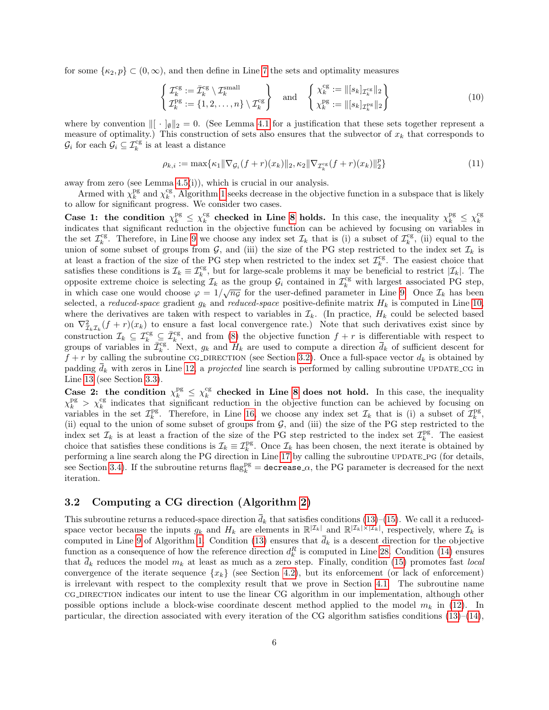for some  $\{\kappa_2, p\} \subset (0, \infty)$ , and then define in Line [7](#page-7-0) the sets and optimality measures

<span id="page-5-2"></span>
$$
\begin{cases}\n\mathcal{I}_k^{\text{cg}} := \overline{\mathcal{I}}_k^{\text{cg}} \setminus \mathcal{I}_k^{\text{small}} \\
\mathcal{I}_k^{\text{pg}} := \{1, 2, \dots, n\} \setminus \mathcal{I}_k^{\text{cg}}\n\end{cases}\n\quad \text{and} \quad\n\begin{cases}\n\chi_k^{\text{cg}} := ||[s_k]_{\mathcal{I}_k^{\text{cg}}||_2} \\
\chi_k^{\text{pg}} := ||[s_k]_{\mathcal{I}_k^{\text{pg}}||_2}\n\end{cases}\n\tag{10}
$$

where by convention  $\| \cdot \|_{\emptyset} \|_2 = 0$ . (See Lemma [4.1](#page-8-1) for a justification that these sets together represent a measure of optimality.) This construction of sets also ensures that the subvector of  $x<sub>k</sub>$  that corresponds to  $\mathcal{G}_i$  for each  $\mathcal{G}_i \subseteq \mathcal{I}_k^{\text{cg}}$  is at least a distance

<span id="page-5-1"></span>
$$
\rho_{k,i} := \max \{ \kappa_1 \| \nabla_{\mathcal{G}_i} (f+r)(x_k) \|_2, \kappa_2 \| \nabla_{\mathcal{I}_k^{\text{cg}}} (f+r)(x_k) \|_2^p \}
$$
\n(11)

away from zero (see Lemma [4.5\(](#page-11-0)i)), which is crucial in our analysis.

Armed with  $\chi_k^{\text{pg}}$  and  $\chi_k^{\text{cg}}$ , Algorithm [1](#page-7-0) seeks decrease in the objective function in a subspace that is likely to allow for significant progress. We consider two cases.

Case 1: the condition  $\chi_k^{pg} \leq \chi_k^{cg}$  checked in Line [8](#page-7-0) holds. In this case, the inequality  $\chi_k^{pg} \leq \chi_k^{cg}$ indicates that significant reduction in the objective function can be achieved by focusing on variables in the set  $\mathcal{I}_k^{\text{cg}}$ . Therefore, in Line [9](#page-7-0) we choose any index set  $\mathcal{I}_k$  that is (i) a subset of  $\mathcal{I}_k^{\text{cg}}$ , (ii) equal to the union of some subset of groups from  $G$ , and (iii) the size of the PG step restricted to the index set  $\mathcal{I}_k$  is at least a fraction of the size of the PG step when restricted to the index set  $\mathcal{I}_k^{\text{cg}}$ . The easiest choice that satisfies these conditions is  $\mathcal{I}_k \equiv \mathcal{I}_k^{\text{cg}}$ , but for large-scale problems it may be beneficial to restrict  $|\mathcal{I}_k|$ . The opposite extreme choice is selecting  $\mathcal{I}_k$  as the group  $\mathcal{G}_i$  contained in  $\mathcal{I}_k^{\text{cg}}$  with largest associated PG step, in which case one would choose  $\varphi = 1/\sqrt{n_g}$  for the user-defined parameter in Line [9.](#page-7-0) Once  $\mathcal{I}_k$  has been selected, a reduced-space gradient  $g_k$  and reduced-space positive-definite matrix  $H_k$  is computed in Line [10,](#page-7-0) where the derivatives are taken with respect to variables in  $\mathcal{I}_k$ . (In practice,  $H_k$  could be selected based on  $\nabla^2_{\mathcal{I}_k\mathcal{I}_k}(f+r)(x_k)$  to ensure a fast local convergence rate.) Note that such derivatives exist since by construction  $\mathcal{I}_k \subseteq \mathcal{I}_k^{\text{cg}} \subseteq \overline{\mathcal{I}}_k^{\text{cg}}$ , and from [\(8\)](#page-4-2) the objective function  $f + r$  is differentiable with respect to groups of variables in  $\bar{\mathcal{I}}_k^{\text{cg}}$ . Next,  $g_k$  and  $H_k$  are used to compute a direction  $\bar{d}_k$  of sufficient descent for  $f + r$  by calling the subroutine CG\_DIRECTION (see Section [3.2\)](#page-5-0). Once a full-space vector  $d_k$  is obtained by padding  $\bar{d}_k$  with zeros in Line [12,](#page-7-0) a projected line search is performed by calling subroutine UPDATE CG in Line [13](#page-7-0) (see Section [3.3\)](#page-6-1).

Case 2: the condition  $\chi_k^{\text{pg}} \leq \chi_k^{\text{cg}}$  checked in Line [8](#page-7-0) does not hold. In this case, the inequality  $\chi_k^{\text{pg}} > \chi_k^{\text{cg}}$  indicates that significant reduction in the objective function can be achieved by focusing on variables in the set  $\mathcal{I}_k^{\text{pg}}$ . Therefore, in Line [16,](#page-7-0) we choose any index set  $\mathcal{I}_k$  that is (i) a subset of  $\mathcal{I}_k^{\text{pg}}$ . (ii) equal to the union of some subset of groups from  $G$ , and (iii) the size of the PG step restricted to the index set  $\mathcal{I}_k$  is at least a fraction of the size of the PG step restricted to the index set  $\mathcal{I}_k^{\text{pg}}$ . The easiest choice that satisfies these conditions is  $\mathcal{I}_k \equiv \mathcal{I}_k^{\text{pg}}$ . Once  $\mathcal{I}_k$  has been chosen, the next iterate is obtained by performing a line search along the PG direction in Line [17](#page-7-0) by calling the subroutine UPDATE\_PG (for details, see Section [3.4\)](#page-6-0). If the subroutine returns  $\text{flag}_k^{\text{pg}} = \text{decrease} \cdot \alpha$ , the PG parameter is decreased for the next iteration.

## <span id="page-5-0"></span>3.2 Computing a CG direction (Algorithm [2\)](#page-7-1)

This subroutine returns a reduced-space direction  $\bar{d}_k$  that satisfies conditions [\(13\)](#page-7-2)–[\(15\)](#page-7-3). We call it a reducedspace vector because the inputs  $g_k$  and  $H_k$  are elements in  $\mathbb{R}^{|\mathcal{I}_k|}$  and  $\mathbb{R}^{|\mathcal{I}_k| \times |\mathcal{I}_k|}$ , respectively, where  $\mathcal{I}_k$  is computed in Line [9](#page-7-0) of Algorithm [1.](#page-7-0) Condition [\(13\)](#page-7-2) ensures that  $\bar{d}_k$  is a descent direction for the objective function as a consequence of how the reference direction  $d_k^R$  is computed in Line [28.](#page-7-4) Condition [\(14\)](#page-7-5) ensures that  $\bar{d}_k$  reduces the model  $m_k$  at least as much as a zero step. Finally, condition [\(15\)](#page-7-3) promotes fast local convergence of the iterate sequence  $\{x_k\}$  (see Section [4.2\)](#page-17-0), but its enforcement (or lack of enforcement) is irrelevant with respect to the complexity result that we prove in Section [4.1.](#page-9-0) The subroutine name cg DIRECTION indicates our intent to use the linear CG algorithm in our implementation, although other possible options include a block-wise coordinate descent method applied to the model  $m_k$  in [\(12\)](#page-7-4). In particular, the direction associated with every iteration of the CG algorithm satisfies conditions  $(13)-(14)$  $(13)-(14)$  $(13)-(14)$ ,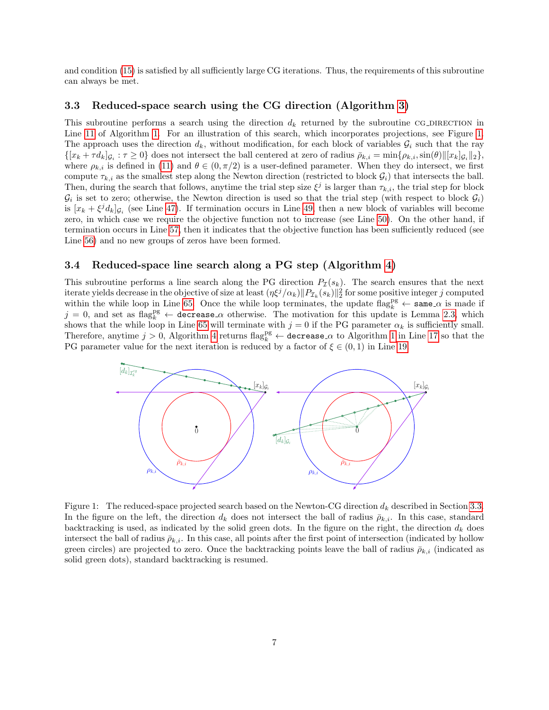and condition [\(15\)](#page-7-3) is satisfied by all sufficiently large CG iterations. Thus, the requirements of this subroutine can always be met.

#### <span id="page-6-1"></span>3.3 Reduced-space search using the CG direction (Algorithm [3\)](#page-8-2)

This subroutine performs a search using the direction  $d_k$  returned by the subroutine CG\_DIRECTION in Line [11](#page-7-0) of Algorithm [1.](#page-7-0) For an illustration of this search, which incorporates projections, see Figure [1.](#page-6-2) The approach uses the direction  $d_k$ , without modification, for each block of variables  $\mathcal{G}_i$  such that the ray  $\{[x_k + \tau d_k]_{\mathcal{G}_i} : \tau \geq 0\}$  does not intersect the ball centered at zero of radius  $\overline{\rho}_{k,i} = \min\{\rho_{k,i}, \sin(\theta) \|\,x_k\}_{\mathcal{G}_i}\|_2\},$ where  $\rho_{k,i}$  is defined in [\(11\)](#page-5-1) and  $\theta \in (0, \pi/2)$  is a user-defined parameter. When they do intersect, we first compute  $\tau_{k,i}$  as the smallest step along the Newton direction (restricted to block  $\mathcal{G}_i$ ) that intersects the ball. Then, during the search that follows, anytime the trial step size  $\xi^j$  is larger than  $\tau_{k,i}$ , the trial step for block  $\mathcal{G}_i$  is set to zero; otherwise, the Newton direction is used so that the trial step (with respect to block  $\mathcal{G}_i$ ) is  $[x_k + \xi^j d_k]_{\mathcal{G}_i}$  (see Line [47\)](#page-8-2). If termination occurs in Line [49,](#page-8-2) then a new block of variables will become zero, in which case we require the objective function not to increase (see Line [50\)](#page-8-2). On the other hand, if termination occurs in Line [57,](#page-8-2) then it indicates that the objective function has been sufficiently reduced (see Line [56\)](#page-8-2) and no new groups of zeros have been formed.

#### <span id="page-6-0"></span>3.4 Reduced-space line search along a PG step (Algorithm [4\)](#page-9-1)

This subroutine performs a line search along the PG direction  $P_{\mathcal{I}}(s_k)$ . The search ensures that the next iterate yields decrease in the objective of size at least  $(\eta \xi^j/\alpha_k) \|P_{\mathcal{I}_k}(s_k)\|_2^2$  for some positive integer j computed within the while loop in Line [65.](#page-9-1) Once the while loop terminates, the update flag<sub>k</sub><sup>pg</sup>  $\leftarrow$  same  $\alpha$  is made if  $j = 0$ , and set as flag<sup>pg</sup>  $\leftarrow$  decrease  $\alpha$  otherwise. The motivation for this update is Lemma [2.3,](#page-4-3) which shows that the while loop in Line [65](#page-9-1) will terminate with  $j = 0$  if the PG parameter  $\alpha_k$  is sufficiently small. Therefore, anytime  $j > 0$ , Algorithm [4](#page-9-1) returns flag<sup>pg</sup>  $\leftarrow$  decrease  $\alpha$  to Algorithm [1](#page-7-0) in Line [17](#page-7-0) so that the PG parameter value for the next iteration is reduced by a factor of  $\xi \in (0,1)$  in Line [19.](#page-7-0)

<span id="page-6-2"></span>

Figure 1: The reduced-space projected search based on the Newton-CG direction  $d_k$  described in Section [3.3.](#page-6-1) In the figure on the left, the direction  $d_k$  does not intersect the ball of radius  $\bar{\rho}_{k,i}$ . In this case, standard backtracking is used, as indicated by the solid green dots. In the figure on the right, the direction  $d_k$  does intersect the ball of radius  $\bar{\rho}_{k,i}$ . In this case, all points after the first point of intersection (indicated by hollow green circles) are projected to zero. Once the backtracking points leave the ball of radius  $\bar{\rho}_{k,i}$  (indicated as solid green dots), standard backtracking is resumed.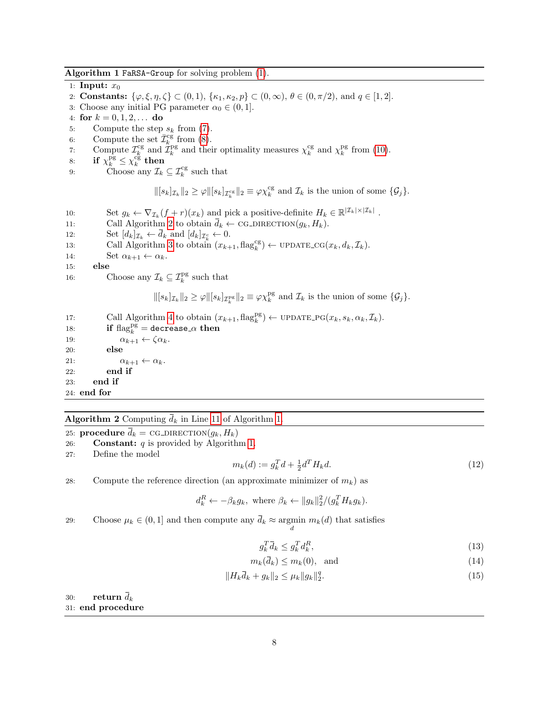Algorithm 1 FaRSA-Group for solving problem [\(1\)](#page-1-0).

<span id="page-7-0"></span>1: **Input:**  $x_0$ 2: **Constants:**  $\{\varphi, \xi, \eta, \zeta\} \subset (0, 1), \{\kappa_1, \kappa_2, p\} \subset (0, \infty), \theta \in (0, \pi/2), \text{ and } q \in [1, 2].$ 3: Choose any initial PG parameter  $\alpha_0 \in (0, 1]$ . 4: for  $k = 0, 1, 2, \ldots$  do 5: Compute the step  $s_k$  from [\(7\)](#page-4-4). 6: Compute the set  $\overline{\mathcal{I}}_{k}^{\text{cg}}$  from [\(8\)](#page-4-2). 7: Compute  $\mathcal{I}_k^{\text{cg}}$  and  $\mathcal{I}_k^{\text{pg}}$  and their optimality measures  $\chi_k^{\text{cg}}$  and  $\chi_k^{\text{pg}}$  from [\(10\)](#page-5-2). 8: if  $\chi_k^{\text{pg}} \leq \chi_k^{\text{cg}}$  then 9: Choose any  $\mathcal{I}_k \subseteq \mathcal{I}_k^{\text{cg}}$  such that  $\|[s_k]_{\mathcal{I}_k}\|_2 \geq \varphi \|[s_k]_{\mathcal{I}_k^{cg}}\|_2 \equiv \varphi \chi_k^{cg}$  and  $\mathcal{I}_k$  is the union of some  $\{\mathcal{G}_j\}$ . 10: Set  $g_k \leftarrow \nabla_{\mathcal{I}_k}(f+r)(x_k)$  and pick a positive-definite  $H_k \in \mathbb{R}^{|\mathcal{I}_k| \times |\mathcal{I}_k|}$ . 11: Call Algorithm [2](#page-7-1) to obtain  $\overline{d}_k \leftarrow$  CG\_DIRECTION $(g_k, H_k)$ .<br>12: Set  $[d_k]_{\tau_k} \leftarrow \overline{d}_k$  and  $[d_k]_{\tau_k} \leftarrow 0$ . 12: Set  $[d_k]_{\mathcal{I}_k} \leftarrow d_k$  and  $[d_k]_{\mathcal{I}_k^c} \leftarrow 0$ . 13: Call Algorithm [3](#page-8-2) to obtain  $(x_{k+1}, \text{flag}_k^{\text{cg}}) \leftarrow \text{UPDATE\_CG}(x_k, d_k, \mathcal{I}_k)$ . 14: Set  $\alpha_{k+1} \leftarrow \alpha_k$ .<br>15: **else** else 16: Choose any  $\mathcal{I}_k \subseteq \mathcal{I}_k^{\text{pg}}$  such that  $\|[s_k]_{\mathcal{I}_k}\|_2 \geq \varphi \|[s_k]_{\mathcal{I}_k^{\text{pg}}}\|_2 \equiv \varphi \chi_k^{\text{pg}}$  and  $\mathcal{I}_k$  is the union of some  $\{\mathcal{G}_j\}.$ 17: Call Algorithm [4](#page-9-1) to obtain  $(x_{k+1}, \text{flag}_k^{\text{pg}}) \leftarrow \text{UPDATE_PG}(x_k, s_k, \alpha_k, \mathcal{I}_k).$ 18: if  $\text{flag}_k^{\overline{\text{pg}}} = \text{decrease}_{\alpha}$  then 19:  $\alpha_{k+1} \leftarrow \zeta \alpha_k$ .<br>20: **else** else 21:  $\alpha_{k+1} \leftarrow \alpha_k$ .<br>22: end if end if

#### **Algorithm 2** Computing  $\bar{d}_k$  in Line [11](#page-7-0) of Algorithm [1.](#page-7-0)

<span id="page-7-1"></span>25: **procedure**  $d_k = \text{CG}$  DIRECTION $(g_k, H_k)$ 

26: **Constant:**  $q$  is provided by Algorithm [1.](#page-7-0)

27: Define the model

23: end if 24: end for

<span id="page-7-4"></span>
$$
m_k(d) := g_k^T d + \frac{1}{2} d^T H_k d. \tag{12}
$$

28: Compute the reference direction (an approximate minimizer of  $m_k$ ) as

$$
d_k^R \leftarrow -\beta_k g_k, \text{ where } \beta_k \leftarrow ||g_k||_2^2 / (g_k^T H_k g_k).
$$

29: Choose  $\mu_k \in (0, 1]$  and then compute any  $d_k \approx \underset{d}{\text{argmin}} m_k(d)$  that satisfies

<span id="page-7-5"></span><span id="page-7-3"></span><span id="page-7-2"></span>
$$
g_k^T \bar{d}_k \le g_k^T d_k^R,\tag{13}
$$

$$
m_k(\bar{d}_k) \le m_k(0), \quad \text{and} \tag{14}
$$

$$
||H_k\bar{d}_k + g_k||_2 \le \mu_k ||g_k||_2^q. \tag{15}
$$

30: return  $\bar{d}_k$ 31: end procedure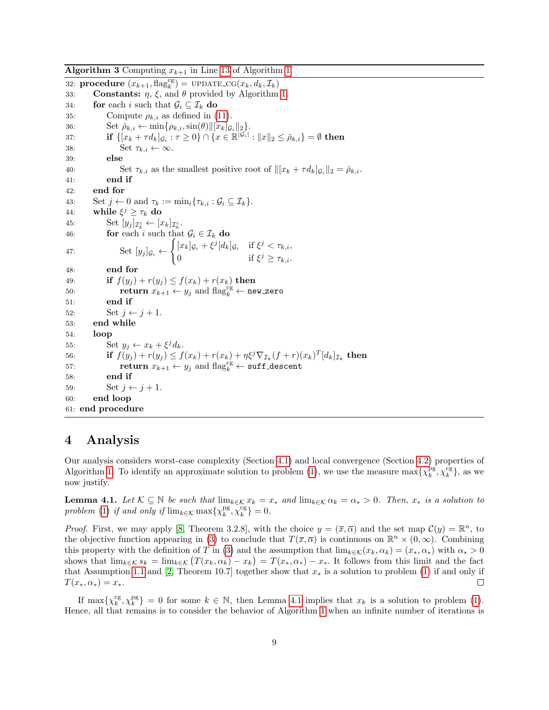**Algorithm 3** Computing  $x_{k+1}$  in Line [13](#page-7-0) of Algorithm [1.](#page-7-0)

<span id="page-8-2"></span>32: **procedure**  $(x_{k+1}, \text{flag}_k^{\text{cg}}) = \text{UPDATE\_CG}(x_k, d_k, \mathcal{I}_k)$ 33: **Constants:**  $\eta$ ,  $\xi$ , and  $\theta$  provided by Algorithm [1.](#page-7-0) 34: **for** each *i* such that  $\mathcal{G}_i \subseteq \mathcal{I}_k$  **do**<br>35: Compute  $\rho_{k,i}$  as defined in (1) Compute  $\rho_{k,i}$  as defined in [\(11\)](#page-5-1). 36: Set  $\bar{\rho}_{k,i} \leftarrow \min\{\rho_{k,i}, \sin(\theta) ||[x_k]_{\mathcal{G}_i}||_2\}.$ 37: **if**  $\{ [x_k + \tau d_k]_{\mathcal{G}_i} : \tau \ge 0 \} \cap \{ x \in \mathbb{R}^{|\mathcal{G}_i|} : ||x||_2 \le \bar{\rho}_{k,i} \} = \emptyset$  then 38: Set  $\tau_{k,i} \leftarrow \infty$ .<br>39: **else** else 40: Set  $\tau_{k,i}$  as the smallest positive root of  $\|[x_k + \tau d_k]_{\mathcal{G}_i}\|_2 = \bar{\rho}_{k,i}$ .<br>41: end if 42: end for 43: Set  $j \leftarrow 0$  and  $\tau_k := \min_i \{ \tau_{k,i} : \mathcal{G}_i \subseteq \mathcal{I}_k \}.$ 44: while  $\xi^j \geq \tau_k$  do 45: Set  $[y_j]_{\mathcal{I}_k^c} \leftarrow [x_k]_{\mathcal{I}_k^c}.$ 46: **for** each i such that  $\mathcal{G}_i \in \mathcal{I}_k$  do 47: Set  $[y_j]_{\mathcal{G}_i} \leftarrow$  $\int [x_k]_{\mathcal{G}_i} + \xi^j [d_k]_{\mathcal{G}_i}$  if  $\xi^j < \tau_{k,i}$ , 0 if  $\xi^j \geq \tau_{k,i}$ . 48: end for 49: **if**  $f(y_j) + r(y_j) \leq f(x_k) + r(x_k)$  then<br>50: **return**  $x_{k+1} \leftarrow y_i$  and flag<sup>cg</sup>  $\leftarrow$  ne 50: return  $x_{k+1} \leftarrow y_j$  and  $\text{flag}_k^{\text{cg}} \leftarrow \text{new\_zero}$ 51: end if 52: Set  $j \leftarrow j + 1$ .<br>53: **end while** end while 54: loop 55:  $\operatorname{Set} y_j \leftarrow x_k + \xi^j d_k.$ 56: **if**  $f(y_j) + r(y_j) \leq f(x_k) + r(x_k) + \eta \xi^j \nabla_{\mathcal{I}_k}(f+r)(x_k)^T [d_k]_{\mathcal{I}_k}$  then 57: return  $x_{k+1} \leftarrow y_j$  and  $\text{flag}_k^{\text{cg}} \leftarrow \text{suffix}$  descent 58: end if 59: Set  $j \leftarrow j + 1$ .<br>60: end loop end loop 61: end procedure

## <span id="page-8-0"></span>4 Analysis

Our analysis considers worst-case complexity (Section [4.1\)](#page-9-0) and local convergence (Section [4.2\)](#page-17-0) properties of Algorithm [1.](#page-7-0) To identify an approximate solution to problem [\(1\)](#page-1-0), we use the measure  $\max\{\chi_k^{\rm pg},\chi_k^{\rm cg}\}\,$ , as we now justify.

<span id="page-8-1"></span>**Lemma 4.1.** Let  $K \subseteq \mathbb{N}$  be such that  $\lim_{k \in \mathcal{K}} x_k = x_*$  and  $\lim_{k \in \mathcal{K}} \alpha_k = \alpha_* > 0$ . Then,  $x_*$  is a solution to problem [\(1\)](#page-1-0) if and only if  $\lim_{k \in \mathcal{K}} \max \{ \chi_k^{pg}, \chi_k^{cg} \} = 0.$ 

*Proof.* First, we may apply [\[8,](#page-26-16) Theorem 3.2.8], with the choice  $y = (\bar{x}, \bar{\alpha})$  and the set map  $\mathcal{C}(y) = \mathbb{R}^n$ , to the objective function appearing in [\(3\)](#page-3-2) to conclude that  $T(\bar{x}, \bar{\alpha})$  is continuous on  $\mathbb{R}^n \times (0, \infty)$ . Combining this property with the definition of T in [\(3\)](#page-3-2) and the assumption that  $\lim_{k \in \mathcal{K}}(x_k, \alpha_k) = (x_*, \alpha_*)$  with  $\alpha_* > 0$ shows that  $\lim_{k \in \mathcal{K}} s_k = \lim_{k \in \mathcal{K}} (T(x_k, \alpha_k) - x_k) = T(x_*, \alpha_*) - x_*$ . It follows from this limit and the fact that Assumption [1.1](#page-3-5) and [\[2,](#page-25-2) Theorem 10.7] together show that  $x_*$  is a solution to problem [\(1\)](#page-1-0) if and only if  $T(x_*, \alpha_*) = x_*$ .  $\Box$ 

If  $\max\{\chi_k^{\text{cg}},\chi_k^{\text{pg}}\}=0$  for some  $k \in \mathbb{N}$ , then Lemma [4.1](#page-8-1) implies that  $x_k$  is a solution to problem [\(1\)](#page-1-0). Hence, all that remains is to consider the behavior of Algorithm [1](#page-7-0) when an infinite number of iterations is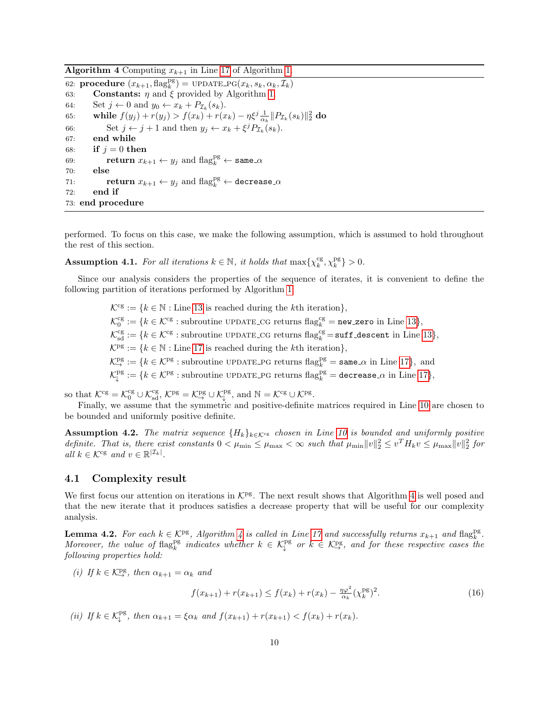**Algorithm 4** Computing  $x_{k+1}$  in Line [17](#page-7-0) of Algorithm [1.](#page-7-0)

<span id="page-9-1"></span>62: **procedure**  $(x_{k+1}, \text{flag}_k^{\text{pg}}) = \text{UPDATE_PG}(x_k, s_k, \alpha_k, \mathcal{I}_k)$ 63: **Constants:**  $\eta$  and  $\xi$  provided by Algorithm [1.](#page-7-0) 64: Set  $j \leftarrow 0$  and  $y_0 \leftarrow x_k + P_{\mathcal{I}_k}(s_k)$ . 65: while  $f(y_j) + r(y_j) > f(x_k) + r(x_k) - \eta \xi^j \frac{1}{\alpha_k} ||P_{\mathcal{I}_k}(s_k)||_2^2$  do 66: Set  $j \leftarrow j + 1$  and then  $y_j \leftarrow x_k + \xi^j P_{\mathcal{I}_k}(s_k)$ . 67: end while 68: if  $i = 0$  then 69: **return**  $x_{k+1} \leftarrow y_j$  and  $\text{flag}_k^{\text{pg}} \leftarrow \texttt{same}_{\text{-}\alpha}$ 70: else 71: **return**  $x_{k+1} \leftarrow y_j$  and  $\text{flag}_k^{\text{pg}} \leftarrow \text{decrease}_{\text{-}\alpha}$ 72: end if 73: end procedure

performed. To focus on this case, we make the following assumption, which is assumed to hold throughout the rest of this section.

<span id="page-9-3"></span>**Assumption 4.1.** For all iterations  $k \in \mathbb{N}$ , it holds that  $\max\{\chi_k^{\text{cg}}, \chi_k^{\text{pg}}\} > 0$ .

Since our analysis considers the properties of the sequence of iterates, it is convenient to define the following partition of iterations performed by Algorithm [1:](#page-7-0)

> $\mathcal{K}^{\text{cg}} := \{k \in \mathbb{N} : \text{Line } 13 \text{ is reached during the } k\text{th iteration}\},\$  $\mathcal{K}^{\text{cg}} := \{k \in \mathbb{N} : \text{Line } 13 \text{ is reached during the } k\text{th iteration}\},\$  $\mathcal{K}^{\text{cg}} := \{k \in \mathbb{N} : \text{Line } 13 \text{ is reached during the } k\text{th iteration}\},\$  $\mathcal{K}_0^{\text{cg}} := \{k \in \mathcal{K}^{\text{cg}}: \text{subroutine UPDATE\_CG returns flag}_k^{\text{cg}} = \texttt{new\_zero} \text{ in Line 13}\},\$  $\mathcal{K}_0^{\text{cg}} := \{k \in \mathcal{K}^{\text{cg}}: \text{subroutine UPDATE\_CG returns flag}_k^{\text{cg}} = \texttt{new\_zero} \text{ in Line 13}\},\$  $\mathcal{K}_0^{\text{cg}} := \{k \in \mathcal{K}^{\text{cg}}: \text{subroutine UPDATE\_CG returns flag}_k^{\text{cg}} = \texttt{new\_zero} \text{ in Line 13}\},\$  $\mathcal{K}_{sd}^{cg} := \{k \in \mathcal{K}^{cg} : \text{subroutine UPDATE\_CG returns flag}_k^{cg} = \text{suffix\_descent in Line 13}\},$  $\mathcal{K}_{sd}^{cg} := \{k \in \mathcal{K}^{cg} : \text{subroutine UPDATE\_CG returns flag}_k^{cg} = \text{suffix\_descent in Line 13}\},$  $\mathcal{K}_{sd}^{cg} := \{k \in \mathcal{K}^{cg} : \text{subroutine UPDATE\_CG returns flag}_k^{cg} = \text{suffix\_descent in Line 13}\},$  $\mathcal{K}^{\mathrm{pg}} := \{k \in \mathbb{N} :$  Line [17](#page-7-0) is reached during the *k*th iteration},  $\mathcal{K}_{\rightarrow}^{\text{pg}} := \{k \in \mathcal{K}^{\text{pg}} : \text{subroutine UPDATE\_PG returns flag}_k^{\text{pg}} = \texttt{same\_}\alpha \text{ in Line 17}\},\text{ and}$  $\mathcal{K}_{\rightarrow}^{\text{pg}} := \{k \in \mathcal{K}^{\text{pg}} : \text{subroutine UPDATE\_PG returns flag}_k^{\text{pg}} = \texttt{same\_}\alpha \text{ in Line 17}\},\text{ and}$  $\mathcal{K}_{\rightarrow}^{\text{pg}} := \{k \in \mathcal{K}^{\text{pg}} : \text{subroutine UPDATE\_PG returns flag}_k^{\text{pg}} = \texttt{same\_}\alpha \text{ in Line 17}\},\text{ and}$  $\mathcal{K}^{\text{pg}}_{\downarrow} := \{k \in \mathcal{K}^{\text{pg}} : \text{subroutine UPDATE\_PG returns flag}^{\text{pg}} \}$  = decrease\_ $\alpha$  in Line [17](#page-7-0)},

so that  $\mathcal{K}^{\text{cg}} = \mathcal{K}^{\text{cg}}_{0} \cup \mathcal{K}^{\text{cg}}_{\text{sd}}, \mathcal{K}^{\text{pg}} = \mathcal{K}^{\text{pg}}_{\rightarrow} \cup \mathcal{K}^{\text{pg}}_{\downarrow}, \text{ and } \mathbb{N} = \mathcal{K}^{\text{cg}} \cup \mathcal{K}^{\text{pg}}_{\rightarrow}.$ 

Finally, we assume that the symmetric and positive-definite matrices required in Line [10](#page-7-0) are chosen to be bounded and uniformly positive definite.

<span id="page-9-4"></span>**Assumption 4.2.** The matrix sequence  ${H_k}_{k \in \mathcal{K}^{\text{cg}}}$  chosen in Line [10](#page-7-0) is bounded and uniformly positive definite. That is, there exist constants  $0 < \mu_{\min} \leq \mu_{\max} < \infty$  such that  $\mu_{\min} ||v||_2^2 \leq v^T H_k v \leq \mu_{\max} ||v||_2^2$  for all  $k \in \mathcal{K}^{\text{cg}}$  and  $v \in \mathbb{R}^{|\mathcal{I}_k|}$ .

#### <span id="page-9-0"></span>4.1 Complexity result

We first focus our attention on iterations in  $\mathcal{K}^{pg}$ . The next result shows that Algorithm [4](#page-9-1) is well posed and that the new iterate that it produces satisfies a decrease property that will be useful for our complexity analysis.

<span id="page-9-5"></span>**Lemma [4](#page-9-1).2.** For each  $k \in \mathcal{K}^{\text{pg}}$ , Algorithm 4 is called in Line [17](#page-7-0) and successfully returns  $x_{k+1}$  and  $\text{flag}_k^{\text{pg}}$ . Moreover, the value of flag<sup>pg</sup> indicates whether  $k \in \mathcal{K}^{\text{pg}}_{\downarrow}$  or  $k \in \mathcal{K}^{\text{pg}}_{\to}$ , and for these respective cases the following properties hold:

(i) If  $k \in \mathcal{K}^{\text{pg}}_{\to}$ , then  $\alpha_{k+1} = \alpha_k$  and

<span id="page-9-2"></span>
$$
f(x_{k+1}) + r(x_{k+1}) \le f(x_k) + r(x_k) - \frac{\eta \varphi^2}{\alpha_k} (\chi_k^{\text{pg}})^2. \tag{16}
$$

(ii) If  $k \in \mathcal{K}_{\downarrow}^{\text{pg}}$ , then  $\alpha_{k+1} = \xi \alpha_k$  and  $f(x_{k+1}) + r(x_{k+1}) < f(x_k) + r(x_k)$ .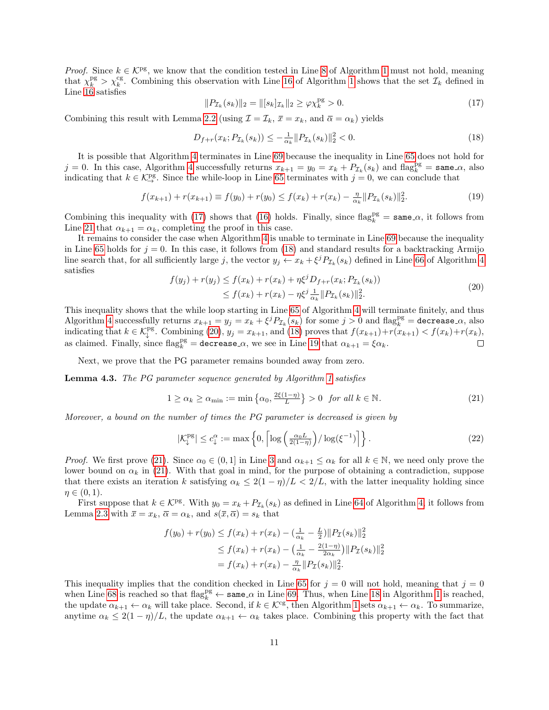*Proof.* Since  $k \in \mathcal{K}^{\text{pg}}$ , we know that the condition tested in Line [8](#page-7-0) of Algorithm [1](#page-7-0) must not hold, meaning that  $\chi_k^{\text{pg}} > \chi_k^{\text{cg}}$ . Combining this observation with Line [16](#page-7-0) of Algorithm [1](#page-7-0) shows that the set  $\mathcal{I}_k$  defined in Line [16](#page-7-0) satisfies

<span id="page-10-0"></span>
$$
||P_{\mathcal{I}_k}(s_k)||_2 = ||[s_k]_{\mathcal{I}_k}||_2 \ge \varphi \chi_k^{\text{pg}} > 0. \tag{17}
$$

Combining this result with Lemma [2.2](#page-4-5) (using  $\mathcal{I} = \mathcal{I}_k$ ,  $\bar{x} = x_k$ , and  $\bar{\alpha} = \alpha_k$ ) yields

<span id="page-10-1"></span>
$$
D_{f+r}(x_k; P_{\mathcal{I}_k}(s_k)) \le -\frac{1}{\alpha_k} \|P_{\mathcal{I}_k}(s_k)\|_2^2 < 0. \tag{18}
$$

It is possible that Algorithm [4](#page-9-1) terminates in Line [69](#page-9-1) because the inequality in Line [65](#page-9-1) does not hold for  $j = 0$ . In this case, Algorithm [4](#page-9-1) successfully returns  $x_{k+1} = y_0 = x_k + P_{\mathcal{I}_k}(s_k)$  and  $\text{flag}_k^{\text{pg}} = \text{same}.\alpha$ , also indicating that  $k \in \mathcal{K}^{\text{pg}}_{\to}$ . Since the while-loop in Line [65](#page-9-1) terminates with  $j = 0$ , we can conclude that

$$
f(x_{k+1}) + r(x_{k+1}) \equiv f(y_0) + r(y_0) \le f(x_k) + r(x_k) - \frac{\eta}{\alpha_k} \|P_{\mathcal{I}_k}(s_k)\|_2^2.
$$
 (19)

Combining this inequality with [\(17\)](#page-10-0) shows that [\(16\)](#page-9-2) holds. Finally, since  $\text{flag}_k^{\text{pg}} = \text{same} \_\alpha$ , it follows from Line [21](#page-7-0) that  $\alpha_{k+1} = \alpha_k$ , completing the proof in this case.

It remains to consider the case when Algorithm [4](#page-9-1) is unable to terminate in Line [69](#page-9-1) because the inequality in Line [65](#page-9-1) holds for  $j = 0$ . In this case, it follows from [\(18\)](#page-10-1) and standard results for a backtracking Armijo line search that, for all sufficiently large j, the vector  $y_j \leftarrow x_k + \xi^j P_{\mathcal{I}_k}(s_k)$  defined in Line [66](#page-9-1) of Algorithm [4](#page-9-1) satisfies

<span id="page-10-2"></span>
$$
f(y_j) + r(y_j) \le f(x_k) + r(x_k) + \eta \xi^j D_{f+r}(x_k; P_{\mathcal{I}_k}(s_k))
$$
  
 
$$
\le f(x_k) + r(x_k) - \eta \xi^j \frac{1}{\alpha_k} || P_{\mathcal{I}_k}(s_k) ||_2^2.
$$
 (20)

This inequality shows that the while loop starting in Line [65](#page-9-1) of Algorithm [4](#page-9-1) will terminate finitely, and thus Algorithm [4](#page-9-1) successfully returns  $x_{k+1} = y_j = x_k + \xi^j P_{\mathcal{I}_k}(s_k)$  for some  $j > 0$  and  $\text{flag}_k^{\text{pg}} = \text{decrease} \cdot \alpha$ , also indicating that  $k \in \mathcal{K}_{\downarrow}^{\text{pg}}$ . Combining [\(20\)](#page-10-2),  $y_j = x_{k+1}$ , and [\(18\)](#page-10-1) proves that  $f(x_{k+1}) + r(x_{k+1}) < f(x_k) + r(x_k)$ , as claimed. Finally, since  $\text{flag}_k^{\text{pg}} = \text{decrease} \alpha$ , we see in Line [19](#page-7-0) that  $\alpha_{k+1} = \xi \alpha_k$ .  $\Box$ 

Next, we prove that the PG parameter remains bounded away from zero.

<span id="page-10-5"></span>Lemma 4.3. The PG parameter sequence generated by Algorithm [1](#page-7-0) satisfies

<span id="page-10-3"></span>
$$
1 \ge \alpha_k \ge \alpha_{\min} := \min\left\{\alpha_0, \frac{2\xi(1-\eta)}{L}\right\} > 0 \quad \text{for all } k \in \mathbb{N}.
$$
 (21)

Moreover, a bound on the number of times the PG parameter is decreased is given by

<span id="page-10-4"></span>
$$
|\mathcal{K}_{\downarrow}^{\text{pg}}| \le c_{\downarrow}^{\alpha} := \max\left\{0, \left\lceil \log\left(\frac{\alpha_0 L}{2(1-\eta)}\right) / \log(\xi^{-1}) \right\rceil \right\}.
$$
 (22)

*Proof.* We first prove [\(21\)](#page-10-3). Since  $\alpha_0 \in (0,1]$  in Line [3](#page-7-0) and  $\alpha_{k+1} \leq \alpha_k$  for all  $k \in \mathbb{N}$ , we need only prove the lower bound on  $\alpha_k$  in [\(21\)](#page-10-3). With that goal in mind, for the purpose of obtaining a contradiction, suppose that there exists an iteration k satisfying  $\alpha_k \leq 2(1 - \eta)/L < 2/L$ , with the latter inequality holding since  $\eta \in (0,1)$ .

First suppose that  $k \in \mathcal{K}^{\text{pg}}$ . With  $y_0 = x_k + P_{\mathcal{I}_k}(s_k)$  as defined in Line [64](#page-9-1) of Algorithm [4,](#page-9-1) it follows from Lemma [2.3](#page-4-3) with  $\bar{x} = x_k$ ,  $\bar{\alpha} = \alpha_k$ , and  $s(\bar{x}, \bar{\alpha}) = s_k$  that

$$
f(y_0) + r(y_0) \le f(x_k) + r(x_k) - (\frac{1}{\alpha_k} - \frac{L}{2}) ||P_{\mathcal{I}}(s_k)||_2^2
$$
  
\n
$$
\le f(x_k) + r(x_k) - (\frac{1}{\alpha_k} - \frac{2(1-\eta)}{2\alpha_k}) ||P_{\mathcal{I}}(s_k)||_2^2
$$
  
\n
$$
= f(x_k) + r(x_k) - \frac{\eta}{\alpha_k} ||P_{\mathcal{I}}(s_k)||_2^2.
$$

This inequality implies that the condition checked in Line [65](#page-9-1) for  $j = 0$  will not hold, meaning that  $j = 0$ when Line [68](#page-9-1) is reached so that  $\text{flag}_k^{\text{pg}} \leftarrow \text{same} \cdot \alpha$  in Line [69.](#page-9-1) Thus, when Line [18](#page-7-0) in Algorithm [1](#page-7-0) is reached, the update  $\alpha_{k+1} \leftarrow \alpha_k$  will take place. Second, if  $k \in \mathcal{K}^{\text{cg}}$ , then Algorithm [1](#page-7-0) sets  $\alpha_{k+1} \leftarrow \alpha_k$ . To summarize, anytime  $\alpha_k \leq 2(1-\eta)/L$ , the update  $\alpha_{k+1} \leftarrow \alpha_k$  takes place. Combining this property with the fact that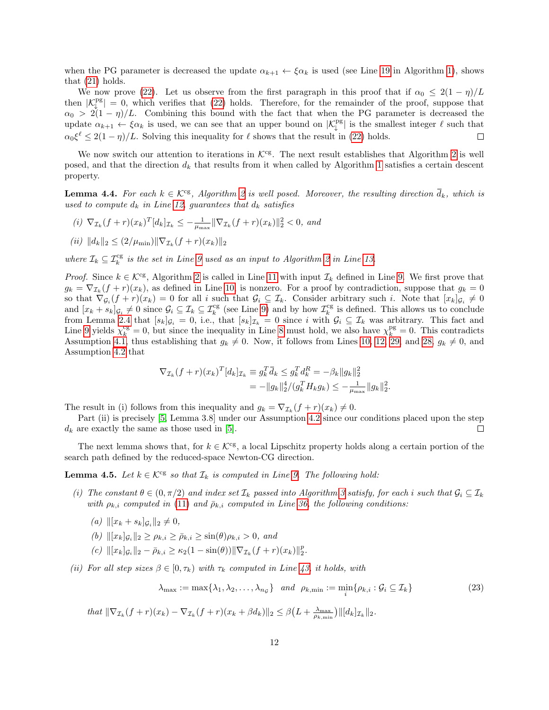when the PG parameter is decreased the update  $\alpha_{k+1} \leftarrow \xi \alpha_k$  is used (see Line [19](#page-7-0) in Algorithm [1\)](#page-7-0), shows that [\(21\)](#page-10-3) holds.

We now prove [\(22\)](#page-10-4). Let us observe from the first paragraph in this proof that if  $\alpha_0 \leq 2(1 - \eta)/L$ then  $|K_{\downarrow}^{\text{pg}}| = 0$ , which verifies that [\(22\)](#page-10-4) holds. Therefore, for the remainder of the proof, suppose that  $\alpha_0 > 2(1-\eta)/L$ . Combining this bound with the fact that when the PG parameter is decreased the update  $\alpha_{k+1} \leftarrow \xi \alpha_k$  is used, we can see that an upper bound on  $|\mathcal{K}_{\downarrow}^{pg}|$  is the smallest integer  $\ell$  such that  $\alpha_0 \xi^{\ell} \leq 2(1 - \eta)/L$ . Solving this inequality for  $\ell$  shows that the result in [\(22\)](#page-10-4) holds.  $\Box$ 

We now switch our attention to iterations in  $K<sup>cg</sup>$ . The next result establishes that Algorithm [2](#page-7-1) is well posed, and that the direction  $d_k$  that results from it when called by Algorithm [1](#page-7-0) satisfies a certain descent property.

<span id="page-11-1"></span>**Lemma 4.4.** For each  $k \in \mathcal{K}^{cg}$ , Algorithm [2](#page-7-1) is well posed. Moreover, the resulting direction  $d_k$ , which is used to compute  $d_k$  in Line [12,](#page-7-0) guarantees that  $d_k$  satisfies

(i)  $\nabla_{\mathcal{I}_k}(f+r)(x_k)^T[d_k]_{\mathcal{I}_k} \leq -\frac{1}{\mu_{\max}} \|\nabla_{\mathcal{I}_k}(f+r)(x_k)\|_2^2 < 0$ , and  $(ii)$   $||d_k||_2 \leq (2/\mu_{\min})||\nabla_{\mathcal{I}_k}(f+r)(x_k)||_2$ 

where  $\mathcal{I}_k \subseteq \mathcal{I}_k^{\text{cg}}$  is the set in Line [9](#page-7-0) used as an input to Algorithm [2](#page-7-1) in Line [13.](#page-7-0)

*Proof.* Since  $k \in \mathcal{K}^{\text{cg}}$ , Algorithm [2](#page-7-1) is called in Line [11](#page-7-0) with input  $\mathcal{I}_k$  defined in Line [9.](#page-7-0) We first prove that  $g_k = \nabla_{\mathcal{I}_k}(f+r)(x_k)$ , as defined in Line [10,](#page-7-0) is nonzero. For a proof by contradiction, suppose that  $g_k = 0$ so that  $\nabla_{\mathcal{G}_i}(f+r)(x_k) = 0$  for all i such that  $\mathcal{G}_i \subseteq \mathcal{I}_k$ . Consider arbitrary such i. Note that  $[x_k]_{\mathcal{G}_i} \neq 0$ and  $[x_k + s_k]_{\mathcal{G}_i} \neq 0$  since  $\mathcal{G}_i \subseteq \mathcal{I}_k \subseteq \mathcal{I}_k^{\text{cg}}$  (see Line [9\)](#page-7-0) and by how  $\mathcal{I}_k^{\text{cg}}$  is defined. This allows us to conclude from Lemma [2.4](#page-4-6) that  $[s_k]_{\mathcal{G}_i} = 0$ , i.e., that  $[s_k]_{\mathcal{I}_k} = 0$  since i with  $\mathcal{G}_i \subseteq \mathcal{I}_k$  was arbitrary. This fact and Line [9](#page-7-0) yields  $\chi_k^{\text{cg}} = 0$ , but since the inequality in Line [8](#page-7-0) must hold, we also have  $\chi_k^{\text{pg}} = 0$ . This contradicts Assumption [4.1,](#page-9-3) thus establishing that  $g_k \neq 0$ . Now, it follows from Lines [10, 12,](#page-7-0) [29,](#page-7-4) and [28,](#page-7-4)  $g_k \neq 0$ , and Assumption [4.2](#page-9-4) that

$$
\nabla_{\mathcal{I}_k}(f+r)(x_k)^T [d_k]_{\mathcal{I}_k} \equiv g_k^T \bar{d}_k \leq g_k^T d_k^R = -\beta_k \|g_k\|_2^2
$$
  
= 
$$
-\|g_k\|_2^4/(g_k^T H_k g_k) \leq -\frac{1}{\mu_{\max}} \|g_k\|_2^2.
$$

The result in (i) follows from this inequality and  $g_k = \nabla_{\mathcal{I}_k}(f+r)(x_k) \neq 0$ .

Part (ii) is precisely [\[5,](#page-26-6) Lemma 3.8] under our Assumption [4.2](#page-9-4) since our conditions placed upon the step  $d_k$  are exactly the same as those used in [\[5\]](#page-26-6).  $\Box$ 

The next lemma shows that, for  $k \in \mathcal{K}^{\text{cg}}$ , a local Lipschitz property holds along a certain portion of the search path defined by the reduced-space Newton-CG direction.

<span id="page-11-0"></span>**Lemma 4.5.** Let  $k \in \mathcal{K}^{cg}$  so that  $\mathcal{I}_k$  is computed in Line [9.](#page-7-0) The following hold:

- (i) The constant  $\theta \in (0, \pi/2)$  and index set  $\mathcal{I}_k$  passed into Algorithm [3](#page-8-2) satisfy, for each i such that  $\mathcal{G}_i \subseteq \mathcal{I}_k$ with  $\rho_{k,i}$  computed in [\(11\)](#page-5-1) and  $\bar{\rho}_{k,i}$  computed in Line [36,](#page-8-2) the following conditions:
	- (a)  $\| [x_k + s_k]_{\mathcal{G}_i} \|_2 \neq 0,$
	- (b)  $\| [x_k]_{\mathcal{G}_i} \|_2 \ge \rho_{k,i} \ge \bar{\rho}_{k,i} \ge \sin(\theta) \rho_{k,i} > 0$ , and
	- (c)  $\| [x_k]_{\mathcal{G}_i} \|_2 \bar{\rho}_{k,i} \geq \kappa_2 (1 \sin(\theta)) \| \nabla_{\mathcal{I}_k} (f + r)(x_k) \|_2^p.$
- (ii) For all step sizes  $\beta \in [0, \tau_k)$  with  $\tau_k$  computed in Line [43,](#page-8-2) it holds, with

<span id="page-11-2"></span>
$$
\lambda_{\max} := \max\{\lambda_1, \lambda_2, \dots, \lambda_{n_{\mathcal{G}}}\} \quad and \quad \rho_{k,\min} := \min_i \{\rho_{k,i} : \mathcal{G}_i \subseteq \mathcal{I}_k\} \tag{23}
$$

that  $\|\nabla_{\mathcal{I}_k}(f+r)(x_k)-\nabla_{\mathcal{I}_k}(f+r)(x_k+\beta d_k)\|_2 \leq \beta\left(L+\frac{\lambda_{\max}}{\rho_{k,\min}}\right) \|[d_k]_{\mathcal{I}_k}\|_2.$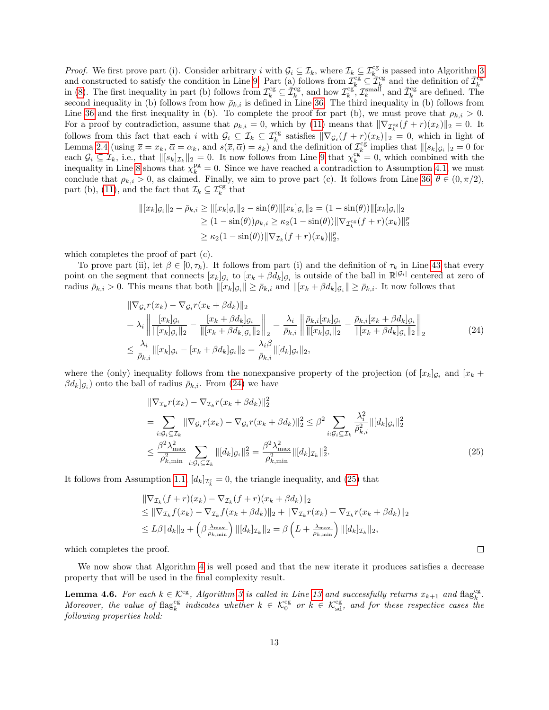*Proof.* We first prove part (i). Consider arbitrary i with  $\mathcal{G}_i \subseteq \mathcal{I}_k$ , where  $\mathcal{I}_k \subseteq \mathcal{I}_{k-}^{cg}$  is passed into Algorithm [3](#page-8-2) and constructed to satisfy the condition in Line [9.](#page-7-0) Part (a) follows from  $\mathcal{I}_k^{\text{cg}} \subseteq \mathcal{I}_k^{\text{cg}}$  and the definition of  $\bar{\mathcal{I}}_k^{\text{cg}}$ <br>in [\(8\)](#page-4-2). The first inequality in part (b) follows from  $\mathcal{I}_k^{\text{cg}} \subseteq \bar{\mathcal$ second inequality in (b) follows from how  $\bar{\rho}_{k,i}$  is defined in Line [36.](#page-8-2) The third inequality in (b) follows from Line [36](#page-8-2) and the first inequality in (b). To complete the proof for part (b), we must prove that  $\rho_{k,i} > 0$ . For a proof by contradiction, assume that  $\rho_{k,i} = 0$ , which by [\(11\)](#page-5-1) means that  $\|\nabla_{\mathcal{I}_k^{cg}}(f+r)(x_k)\|_2 = 0$ . It follows from this fact that each i with  $\mathcal{G}_i \subseteq \mathcal{I}_k \subseteq \mathcal{I}_k^{\text{cg}}$  satisfies  $\|\nabla_{\mathcal{G}_i}(f + r)(x_k)\|_2 = 0$ , which in light of Lemma [2.4](#page-4-6) (using  $\bar{x} = x_k$ ,  $\bar{\alpha} = \alpha_k$ , and  $s(\bar{x}, \bar{\alpha}) = s_k$ ) and the definition of  $\mathcal{I}_{ck}^{\text{cg}}$  implies that  $\| [s_k]_{\mathcal{G}_i} \|_2 = 0$  for each  $\mathcal{G}_i \subseteq \mathcal{I}_k$ , i.e., that  $||[s_k]_{\mathcal{I}_k}||_2 = 0$ . It now follows from Line [9](#page-7-0) that  $\chi_k^{cg} = 0$ , which combined with the inequality in Line [8](#page-7-0) shows that  $\chi_k^{\text{pg}} = 0$ . Since we have reached a contradiction to Assumption [4.1,](#page-9-3) we must conclude that  $\rho_{k,i} > 0$ , as claimed. Finally, we aim to prove part (c). It follows from Line [36,](#page-8-2)  $\theta \in (0, \pi/2)$ , part (b), [\(11\)](#page-5-1), and the fact that  $\mathcal{I}_k \subseteq \mathcal{I}_k^{\text{cg}}$  that

$$
\begin{aligned} ||[x_k]_{\mathcal{G}_i}||_2 - \bar{\rho}_{k,i} &\ge ||[x_k]_{\mathcal{G}_i}||_2 - \sin(\theta) ||[x_k]_{\mathcal{G}_i}||_2 = (1 - \sin(\theta)) ||[x_k]_{\mathcal{G}_i}||_2 \\ &\ge (1 - \sin(\theta)) \rho_{k,i} \ge \kappa_2 (1 - \sin(\theta)) ||\nabla_{\mathcal{I}_k^{\text{cg}}}(f + r)(x_k) ||_2^p \\ &\ge \kappa_2 (1 - \sin(\theta)) ||\nabla_{\mathcal{I}_k}(f + r)(x_k) ||_2^p, \end{aligned}
$$

which completes the proof of part (c).

To prove part (ii), let  $\beta \in [0, \tau_k)$ . It follows from part (i) and the definition of  $\tau_k$  in Line [43](#page-8-2) that every point on the segment that connects  $[x_k]_{\mathcal{G}_i}$  to  $[x_k + \beta d_k]_{\mathcal{G}_i}$  is outside of the ball in  $\mathbb{R}^{|\mathcal{G}_i|}$  centered at zero of radius  $\bar{\rho}_{k,i} > 0$ . This means that both  $\|[x_k]_{\mathcal{G}_i}\| \ge \bar{\rho}_{k,i}$  and  $\|[x_k + \beta d_k]_{\mathcal{G}_i}\| \ge \bar{\rho}_{k,i}$ . It now follows that

<span id="page-12-0"></span>
$$
\begin{split}\n\|\nabla_{\mathcal{G}_{i}}r(x_{k}) - \nabla_{\mathcal{G}_{i}}r(x_{k} + \beta d_{k})\|_{2} \\
= \lambda_{i} \left\| \frac{[x_{k}]_{\mathcal{G}_{i}}}{\|[x_{k}]_{\mathcal{G}_{i}}\|_{2}} - \frac{[x_{k} + \beta d_{k}]_{\mathcal{G}_{i}}}{\|[x_{k} + \beta d_{k}]_{\mathcal{G}_{i}}\|_{2}} \right\|_{2} = \frac{\lambda_{i}}{\bar{\rho}_{k,i}} \left\| \frac{\bar{\rho}_{k,i}[x_{k}]_{\mathcal{G}_{i}}}{\|[x_{k}]_{\mathcal{G}_{i}}\|_{2}} - \frac{\bar{\rho}_{k,i}[x_{k} + \beta d_{k}]_{\mathcal{G}_{i}}}{\|[x_{k} + \beta d_{k}]_{\mathcal{G}_{i}}\|_{2}} \right\|_{2} \\
\leq \frac{\lambda_{i}}{\bar{\rho}_{k,i}} \left\| [x_{k}]_{\mathcal{G}_{i}} - [x_{k} + \beta d_{k}]_{\mathcal{G}_{i}} \right\|_{2} = \frac{\lambda_{i}\beta}{\bar{\rho}_{k,i}} \left\| [d_{k}]_{\mathcal{G}_{i}} \right\|_{2},\n\end{split} \tag{24}
$$

where the (only) inequality follows from the nonexpansive property of the projection (of  $[x_k]_{\mathcal{G}_i}$  and  $[x_k +$  $\beta d_k$ ] $_{\mathcal{G}_i}$ ) onto the ball of radius  $\bar{\rho}_{k,i}$ . From [\(24\)](#page-12-0) we have

$$
\|\nabla_{\mathcal{I}_k} r(x_k) - \nabla_{\mathcal{I}_k} r(x_k + \beta d_k)\|_2^2
$$
\n
$$
= \sum_{i: \mathcal{G}_i \subseteq \mathcal{I}_k} \|\nabla_{\mathcal{G}_i} r(x_k) - \nabla_{\mathcal{G}_i} r(x_k + \beta d_k)\|_2^2 \leq \beta^2 \sum_{i: \mathcal{G}_i \subseteq \mathcal{I}_k} \frac{\lambda_i^2}{\bar{\rho}_{k,i}^2} \| [d_k]_{\mathcal{G}_i} \|_2^2
$$
\n
$$
\leq \frac{\beta^2 \lambda_{\max}^2}{\rho_{k,\min}^2} \sum_{i: \mathcal{G}_i \subseteq \mathcal{I}_k} \| [d_k]_{\mathcal{G}_i} \|_2^2 = \frac{\beta^2 \lambda_{\max}^2}{\rho_{k,\min}^2} \| [d_k]_{\mathcal{I}_k} \|_2^2. \tag{25}
$$

<span id="page-12-1"></span> $\Box$ 

It follows from Assumption [1.1,](#page-3-5)  $[d_k]_{\mathcal{I}_{k}^c} = 0$ , the triangle inequality, and [\(25\)](#page-12-1) that

$$
\|\nabla_{\mathcal{I}_k}(f+r)(x_k) - \nabla_{\mathcal{I}_k}(f+r)(x_k + \beta d_k)\|_2 \n\leq \|\nabla_{\mathcal{I}_k}f(x_k) - \nabla_{\mathcal{I}_k}f(x_k + \beta d_k)\|_2 + \|\nabla_{\mathcal{I}_k}r(x_k) - \nabla_{\mathcal{I}_k}r(x_k + \beta d_k)\|_2 \n\leq L\beta\|d_k\|_2 + \left(\beta \frac{\lambda_{\max}}{\rho_{k,\min}}\right) \|[d_k]_{\mathcal{I}_k}\|_2 = \beta\left(L + \frac{\lambda_{\max}}{\rho_{k,\min}}\right) \|[d_k]_{\mathcal{I}_k}\|_2,
$$

which completes the proof.

We now show that Algorithm [4](#page-9-1) is well posed and that the new iterate it produces satisfies a decrease property that will be used in the final complexity result.

<span id="page-12-2"></span>**Lemma 4.6.** For each  $k \in \mathcal{K}^{\text{cg}}$ , Algorithm [3](#page-8-2) is called in Line [13](#page-7-0) and successfully returns  $x_{k+1}$  and flag<sup>cg</sup>. Moreover, the value of flag<sup>ce</sup> indicates whether  $k \in \mathcal{K}_0^{\text{cg}}$  or  $k \in \mathcal{K}_{sd}^{\text{cg}}$ , and for these respective cases the following properties hold: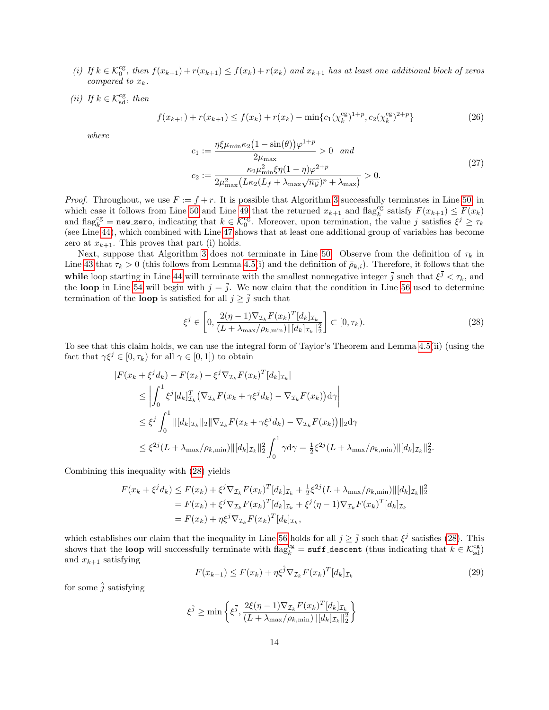- (i) If  $k \in \mathcal{K}_0^{\text{cg}}$ , then  $f(x_{k+1}) + r(x_{k+1}) \le f(x_k) + r(x_k)$  and  $x_{k+1}$  has at least one additional block of zeros compared to  $x_k$ .
- (ii) If  $k \in \mathcal{K}_{sd}^{cg}$ , then

<span id="page-13-2"></span>
$$
f(x_{k+1}) + r(x_{k+1}) \le f(x_k) + r(x_k) - \min\{c_1(\chi_k^{\text{cg}})^{1+p}, c_2(\chi_k^{\text{cg}})^{2+p}\}\tag{26}
$$

where

<span id="page-13-3"></span>
$$
c_1 := \frac{\eta \xi \mu_{\min} \kappa_2 (1 - \sin(\theta)) \varphi^{1+p}}{2\mu_{\max}} > 0 \quad and
$$
  

$$
c_2 := \frac{\kappa_2 \mu_{\min}^2 \xi \eta (1 - \eta) \varphi^{2+p}}{2\mu_{\max}^2 (L\kappa_2 (L_f + \lambda_{\max} \sqrt{n_g})^p + \lambda_{\max})} > 0.
$$
 (27)

*Proof.* Throughout, we use  $F := f + r$ . It is possible that Algorithm [3](#page-8-2) successfully terminates in Line [50,](#page-8-2) in which case it follows from Line [50](#page-8-2) and Line [49](#page-8-2) that the returned  $x_{k+1}$  and flag<sup>cg</sup> satisfy  $F(x_{k+1}) \leq F(x_k)$ and flag<sup>cg</sup> = new zero, indicating that  $k \in \mathcal{K}_0^{\text{cg}}$ . Moreover, upon termination, the value j satisfies  $\xi^j \geq \tau_k$ (see Line [44\)](#page-8-2), which combined with Line [47](#page-8-2) shows that at least one additional group of variables has become zero at  $x_{k+1}$ . This proves that part (i) holds.

Next, suppose that Algorithm [3](#page-8-2) does not terminate in Line [50.](#page-8-2) Observe from the definition of  $\tau_k$  in Line [43](#page-8-2) that  $\tau_k > 0$  (this follows from Lemma [4.5\(](#page-11-0)i) and the definition of  $\bar{\rho}_{k,i}$ ). Therefore, it follows that the while loop starting in Line [44](#page-8-2) will terminate with the smallest nonnegative integer  $\bar{j}$  such that  $\xi^{\bar{j}} < \tau_k$ , and the loop in Line [54](#page-8-2) will begin with  $j = \overline{j}$ . We now claim that the condition in Line [56](#page-8-2) used to determine termination of the **loop** is satisfied for all  $j \geq \overline{j}$  such that

<span id="page-13-0"></span>
$$
\xi^{j} \in \left[0, \frac{2(\eta - 1)\nabla_{\mathcal{I}_{k}} F(x_{k})^{T}[d_{k}]_{\mathcal{I}_{k}}}{(L + \lambda_{\max}/\rho_{k,\min}) \|\left[d_{k}\right]_{\mathcal{I}_{k}}\|_{2}^{2}}\right] \subset [0, \tau_{k}).
$$
\n(28)

To see that this claim holds, we can use the integral form of Taylor's Theorem and Lemma [4.5\(](#page-11-0)ii) (using the fact that  $\gamma \xi^j \in [0, \tau_k)$  for all  $\gamma \in [0, 1]$ ) to obtain

$$
|F(x_{k} + \xi^{j} d_{k}) - F(x_{k}) - \xi^{j} \nabla_{\mathcal{I}_{k}} F(x_{k})^{T} [d_{k}]_{\mathcal{I}_{k}}|
$$
  
\n
$$
\leq \left| \int_{0}^{1} \xi^{j} [d_{k}]_{\mathcal{I}_{k}}^{T} (\nabla_{\mathcal{I}_{k}} F(x_{k} + \gamma \xi^{j} d_{k}) - \nabla_{\mathcal{I}_{k}} F(x_{k})) d\gamma \right|
$$
  
\n
$$
\leq \xi^{j} \int_{0}^{1} ||[d_{k}]_{\mathcal{I}_{k}} ||_{2} || \nabla_{\mathcal{I}_{k}} F(x_{k} + \gamma \xi^{j} d_{k}) - \nabla_{\mathcal{I}_{k}} F(x_{k})||_{2} d\gamma
$$
  
\n
$$
\leq \xi^{2j} (L + \lambda_{\max} / \rho_{k, \min}) ||[d_{k}]_{\mathcal{I}_{k}} ||_{2}^{2} \int_{0}^{1} \gamma d\gamma = \frac{1}{2} \xi^{2j} (L + \lambda_{\max} / \rho_{k, \min}) ||[d_{k}]_{\mathcal{I}_{k}} ||_{2}^{2}.
$$

Combining this inequality with [\(28\)](#page-13-0) yields

$$
F(x_k + \xi^j d_k) \le F(x_k) + \xi^j \nabla_{\mathcal{I}_k} F(x_k)^T [d_k]_{\mathcal{I}_k} + \frac{1}{2} \xi^{2j} (L + \lambda_{\max}/\rho_{k,\min}) ||[d_k]_{\mathcal{I}_k}||_2^2
$$
  
=  $F(x_k) + \xi^j \nabla_{\mathcal{I}_k} F(x_k)^T [d_k]_{\mathcal{I}_k} + \xi^j (\eta - 1) \nabla_{\mathcal{I}_k} F(x_k)^T [d_k]_{\mathcal{I}_k}$   
=  $F(x_k) + \eta \xi^j \nabla_{\mathcal{I}_k} F(x_k)^T [d_k]_{\mathcal{I}_k},$ 

which establishes our claim that the inequality in Line [56](#page-8-2) holds for all  $j \geq \overline{j}$  such that  $\xi^j$  satisfies [\(28\)](#page-13-0). This shows that the **loop** will successfully terminate with  $\text{flag}_k^{\text{cg}} = \text{suffix\_descent}$  (thus indicating that  $k \in \mathcal{K}_{sd}^{\text{cg}}$ ) and  $x_{k+1}$  satisfying

<span id="page-13-1"></span>
$$
F(x_{k+1}) \le F(x_k) + \eta \xi^{\hat{j}} \nabla_{\mathcal{I}_k} F(x_k)^T [d_k]_{\mathcal{I}_k}
$$
\n(29)

for some  $\hat{j}$  satisfying

$$
\xi^{\hat{j}} \ge \min\left\{\xi^{\bar{j}}, \frac{2\xi(\eta-1)\nabla_{\mathcal{I}_k} F(x_k)^T[d_k]_{\mathcal{I}_k}}{(L + \lambda_{\max}/\rho_{k,\min})\|[d_k]_{\mathcal{I}_k}\|_2^2}\right\}
$$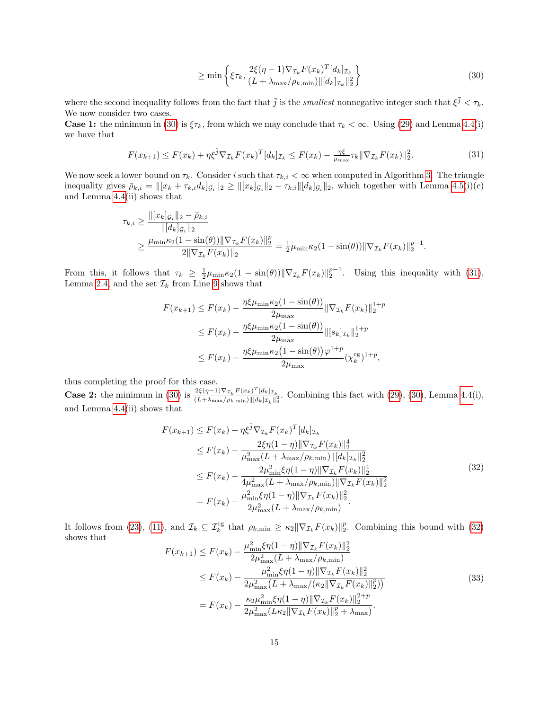<span id="page-14-0"></span>
$$
\geq \min\left\{\xi\tau_k, \frac{2\xi(\eta - 1)\nabla_{\mathcal{I}_k} F(x_k)^T [d_k]_{\mathcal{I}_k}}{(L + \lambda_{\max}/\rho_{k,\min}) \|\left[d_k\right]_{\mathcal{I}_k}\|_2^2}\right\}\n\tag{30}
$$

where the second inequality follows from the fact that  $\bar{j}$  is the *smallest* nonnegative integer such that  $\xi^{\bar{j}} < \tau_k$ . We now consider two cases.

**Case 1:** the minimum in [\(30\)](#page-14-0) is  $\xi \tau_k$ , from which we may conclude that  $\tau_k < \infty$ . Using [\(29\)](#page-13-1) and Lemma [4.4\(](#page-11-1)i) we have that

<span id="page-14-1"></span>
$$
F(x_{k+1}) \le F(x_k) + \eta \xi^{\hat{j}} \nabla_{\mathcal{I}_k} F(x_k)^T [d_k]_{\mathcal{I}_k} \le F(x_k) - \frac{\eta \xi}{\mu_{\max}} \tau_k \|\nabla_{\mathcal{I}_k} F(x_k)\|_2^2. \tag{31}
$$

We now seek a lower bound on  $\tau_k$ . Consider i such that  $\tau_{k,i} < \infty$  when computed in Algorithm [3.](#page-8-2) The triangle inequality gives  $\bar{\rho}_{k,i} = ||x_k + \tau_{k,i}d_k]_{\mathcal{G}_i}||_2 \geq ||x_k|_{\mathcal{G}_i}||_2 - \tau_{k,i}||[d_k]_{\mathcal{G}_i}||_2$ , which together with Lemma [4.5\(](#page-11-0)i)(c) and Lemma [4.4\(](#page-11-1)ii) shows that

$$
\tau_{k,i} \ge \frac{\| [x_k]_{\mathcal{G}_i} \|_2 - \bar{\rho}_{k,i}}{\| [d_k]_{\mathcal{G}_i} \|_2}
$$
  
 
$$
\ge \frac{\mu_{\min} \kappa_2 (1 - \sin(\theta)) \| \nabla_{\mathcal{I}_k} F(x_k) \|_2^p}{2 \| \nabla_{\mathcal{I}_k} F(x_k) \|_2} = \frac{1}{2} \mu_{\min} \kappa_2 (1 - \sin(\theta)) \| \nabla_{\mathcal{I}_k} F(x_k) \|_2^{p-1}.
$$

From this, it follows that  $\tau_k \geq \frac{1}{2}\mu_{\min}\kappa_2(1-\sin(\theta))\|\nabla_{\mathcal{I}_k}F(x_k)\|_2^{p-1}$ . Using this inequality with [\(31\)](#page-14-1), Lemma [2.4,](#page-4-6) and the set  $\mathcal{I}_k$  from Line [9](#page-7-0) shows that

$$
F(x_{k+1}) \le F(x_k) - \frac{\eta \xi \mu_{\min} \kappa_2 (1 - \sin(\theta))}{2\mu_{\max}} \|\nabla_{\mathcal{I}_k} F(x_k)\|_2^{1+p}
$$
  

$$
\le F(x_k) - \frac{\eta \xi \mu_{\min} \kappa_2 (1 - \sin(\theta))}{2\mu_{\max}} \|[s_k]_{\mathcal{I}_k}\|_2^{1+p}
$$
  

$$
\le F(x_k) - \frac{\eta \xi \mu_{\min} \kappa_2 (1 - \sin(\theta)) \varphi^{1+p}}{2\mu_{\max}} (\chi_k^{\text{cg}})^{1+p},
$$

thus completing the proof for this case.

**Case 2:** the minimum in [\(30\)](#page-14-0) is  $\frac{2\xi(\eta-1)\nabla_{\mathcal{I}_k}F(x_k)^T[d_k]_{\mathcal{I}_k}}{(L+1)^{1/2}[(d_k]_{\mathcal{I}_k}]^{(d_k)}$  $\frac{2\zeta(\eta-1)\mathbf{V}L_k \mathbf{F}(\mathbf{L}k) - [\mathbf{L}k]\mathbf{L}_k}{(L+\lambda_{\max}/\rho_{k,\min})\|[\mathbf{d}_k] \mathbf{I}_k\|^2}$ . Combining this fact with  $(29)$ ,  $(30)$ , Lemma [4.4\(](#page-11-1)i), and Lemma [4.4\(](#page-11-1)ii) shows that

<span id="page-14-2"></span>
$$
F(x_{k+1}) \leq F(x_k) + \eta \xi^{\hat{j}} \nabla_{\mathcal{I}_k} F(x_k)^T [d_k]_{\mathcal{I}_k}
$$
  
\n
$$
\leq F(x_k) - \frac{2\xi \eta (1-\eta) \|\nabla_{\mathcal{I}_k} F(x_k)\|_2^4}{\mu_{\max}^2 (L + \lambda_{\max}/\rho_{k,\min}) \| [d_k]_{\mathcal{I}_k} \|_2^2}
$$
  
\n
$$
\leq F(x_k) - \frac{2\mu_{\min}^2 \xi \eta (1-\eta) \|\nabla_{\mathcal{I}_k} F(x_k)\|_2^4}{4\mu_{\max}^2 (L + \lambda_{\max}/\rho_{k,\min}) \|\nabla_{\mathcal{I}_k} F(x_k)\|_2^2}
$$
  
\n
$$
= F(x_k) - \frac{\mu_{\min}^2 \xi \eta (1-\eta) \|\nabla_{\mathcal{I}_k} F(x_k)\|_2^2}{2\mu_{\max}^2 (L + \lambda_{\max}/\rho_{k,\min})}.
$$
  
\n(32)

It follows from [\(23\)](#page-11-2), [\(11\)](#page-5-1), and  $\mathcal{I}_k \subseteq \mathcal{I}_k^{\text{cg}}$  that  $\rho_{k,\min} \geq \kappa_2 \|\nabla_{\mathcal{I}_k} F(x_k)\|_2^p$ . Combining this bound with [\(32\)](#page-14-2) shows that

<span id="page-14-3"></span>
$$
F(x_{k+1}) \le F(x_k) - \frac{\mu_{\min}^2 \xi \eta (1 - \eta) \| \nabla_{\mathcal{I}_k} F(x_k) \|_2^2}{2\mu_{\max}^2 (L + \lambda_{\max}/\rho_{k,\min})}
$$
  
\n
$$
\le F(x_k) - \frac{\mu_{\min}^2 \xi \eta (1 - \eta) \| \nabla_{\mathcal{I}_k} F(x_k) \|_2^2}{2\mu_{\max}^2 (L + \lambda_{\max}/(\kappa_2 \| \nabla_{\mathcal{I}_k} F(x_k) \|_2^2))}
$$
  
\n
$$
= F(x_k) - \frac{\kappa_2 \mu_{\min}^2 \xi \eta (1 - \eta) \| \nabla_{\mathcal{I}_k} F(x_k) \|_2^{2+p}}{2\mu_{\max}^2 (L \kappa_2 \| \nabla_{\mathcal{I}_k} F(x_k) \|_2^2 + \lambda_{\max})}.
$$
\n(33)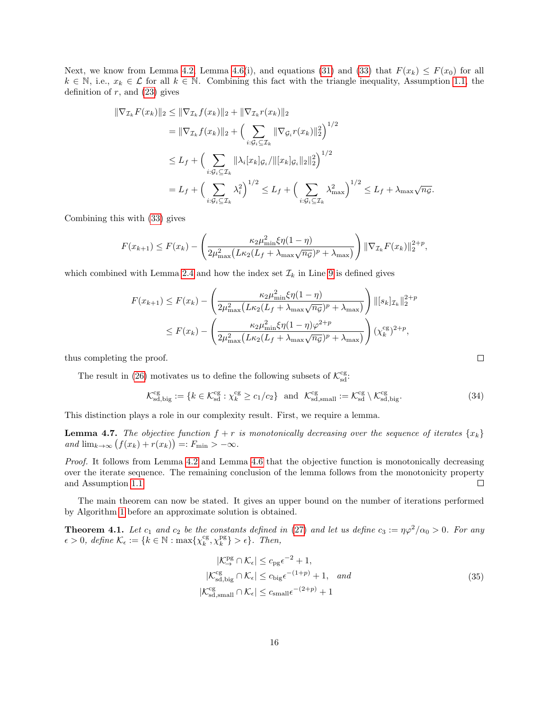Next, we know from Lemma [4.2,](#page-9-5) Lemma [4.6\(](#page-12-2)i), and equations [\(31\)](#page-14-1) and [\(33\)](#page-14-3) that  $F(x_k) \leq F(x_0)$  for all  $k \in \mathbb{N}$ , i.e.,  $x_k \in \mathcal{L}$  for all  $k \in \mathbb{N}$ . Combining this fact with the triangle inequality, Assumption [1.1,](#page-3-5) the definition of  $r$ , and  $(23)$  gives

$$
\begin{split} \|\nabla_{\mathcal{I}_{k}}F(x_{k})\|_{2} &\leq \|\nabla_{\mathcal{I}_{k}}f(x_{k})\|_{2} + \|\nabla_{\mathcal{I}_{k}}r(x_{k})\|_{2} \\ &= \|\nabla_{\mathcal{I}_{k}}f(x_{k})\|_{2} + \Big(\sum_{i:\mathcal{G}_{i}\subseteq\mathcal{I}_{k}} \|\nabla_{\mathcal{G}_{i}}r(x_{k})\|_{2}^{2}\Big)^{1/2} \\ &\leq L_{f} + \Big(\sum_{i:\mathcal{G}_{i}\subseteq\mathcal{I}_{k}} \|\lambda_{i}[x_{k}]g_{i}/\|[x_{k}]g_{i}\|_{2}\|_{2}^{2}\Big)^{1/2} \\ &= L_{f} + \Big(\sum_{i:\mathcal{G}_{i}\subseteq\mathcal{I}_{k}} \lambda_{i}^{2}\Big)^{1/2} \leq L_{f} + \Big(\sum_{i:\mathcal{G}_{i}\subseteq\mathcal{I}_{k}} \lambda_{\max}^{2}\Big)^{1/2} \leq L_{f} + \lambda_{\max}\sqrt{n_{\mathcal{G}}}.\end{split}
$$

Combining this with [\(33\)](#page-14-3) gives

$$
F(x_{k+1}) \leq F(x_k) - \left(\frac{\kappa_2 \mu_{\min}^2 \xi \eta (1-\eta)}{2\mu_{\max}^2 (L\kappa_2 (L_f + \lambda_{\max} \sqrt{n_g})^p + \lambda_{\max})}\right) \|\nabla_{\mathcal{I}_k} F(x_k)\|_2^{2+p},
$$

which combined with Lemma [2.4](#page-4-6) and how the index set  $\mathcal{I}_k$  in Line [9](#page-7-0) is defined gives

$$
F(x_{k+1}) \le F(x_k) - \left(\frac{\kappa_2 \mu_{\min}^2 \xi \eta (1-\eta)}{2\mu_{\max}^2 (L\kappa_2 (L_f + \lambda_{\max} \sqrt{n_g})^p + \lambda_{\max})}\right) ||[s_k]_{\mathcal{I}_k}||_2^{2+p}
$$
  

$$
\le F(x_k) - \left(\frac{\kappa_2 \mu_{\min}^2 \xi \eta (1-\eta) \varphi^{2+p}}{2\mu_{\max}^2 (L\kappa_2 (L_f + \lambda_{\max} \sqrt{n_g})^p + \lambda_{\max})}\right) (\chi_k^{\text{cg}})^{2+p},
$$

thus completing the proof.

The result in [\(26\)](#page-13-2) motivates us to define the following subsets of  $\mathcal{K}^{\text{cg}}_{\text{sd}}$ .

<span id="page-15-2"></span>
$$
\mathcal{K}_{\rm sd,big}^{\rm cg} := \{ k \in \mathcal{K}_{\rm sd}^{\rm cg} : \chi_k^{\rm cg} \ge c_1/c_2 \} \quad \text{and} \quad \mathcal{K}_{\rm sd,small}^{\rm cg} := \mathcal{K}_{\rm sd}^{\rm cg} \setminus \mathcal{K}_{\rm sd,big}^{\rm cg}.\tag{34}
$$

This distinction plays a role in our complexity result. First, we require a lemma.

<span id="page-15-0"></span>**Lemma 4.7.** The objective function  $f + r$  is monotonically decreasing over the sequence of iterates  $\{x_k\}$ and  $\lim_{k\to\infty} (f(x_k) + r(x_k)) =: F_{\min} > -\infty$ .

Proof. It follows from Lemma [4.2](#page-9-5) and Lemma [4.6](#page-12-2) that the objective function is monotonically decreasing over the iterate sequence. The remaining conclusion of the lemma follows from the monotonicity property and Assumption [1.1.](#page-3-5)  $\Box$ 

The main theorem can now be stated. It gives an upper bound on the number of iterations performed by Algorithm [1](#page-7-0) before an approximate solution is obtained.

<span id="page-15-3"></span>**Theorem 4.1.** Let  $c_1$  and  $c_2$  be the constants defined in [\(27\)](#page-13-3) and let us define  $c_3 := \eta \varphi^2/\alpha_0 > 0$ . For any  $\epsilon > 0$ , define  $\mathcal{K}_{\epsilon} := \{ k \in \mathbb{N} : \max\{ \chi_k^{\text{cg}}, \chi_k^{\text{pg}} \} > \epsilon \}.$  Then,

<span id="page-15-1"></span>
$$
|\mathcal{K}_{\rightarrow}^{\text{pg}} \cap \mathcal{K}_{\epsilon}| \le c_{\text{pg}} \epsilon^{-2} + 1,
$$
  
\n
$$
|\mathcal{K}_{\text{sd,big}}^{\text{cg}} \cap \mathcal{K}_{\epsilon}| \le c_{\text{big}} \epsilon^{-(1+p)} + 1, \text{ and}
$$
  
\n
$$
|\mathcal{K}_{\text{sd,small}}^{\text{cg}} \cap \mathcal{K}_{\epsilon}| \le c_{\text{small}} \epsilon^{-(2+p)} + 1
$$
\n(35)

 $\Box$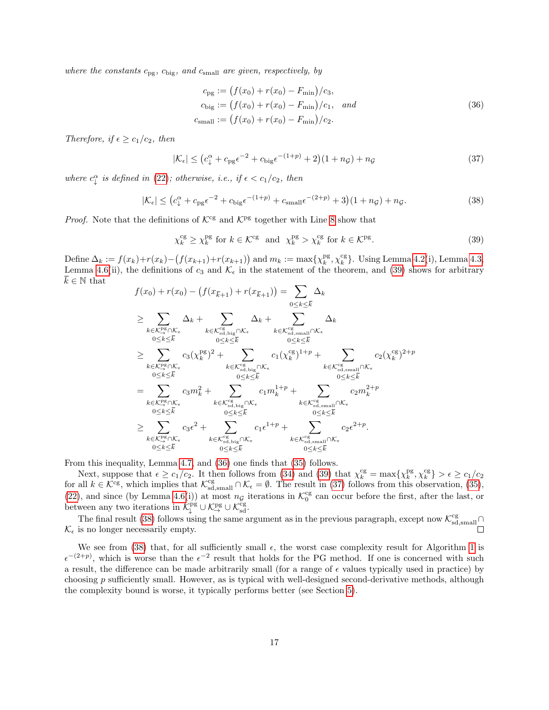where the constants  $c_{\text{pg}}$ ,  $c_{\text{big}}$ , and  $c_{\text{small}}$  are given, respectively, by

<span id="page-16-1"></span>
$$
c_{\text{pg}} := (f(x_0) + r(x_0) - F_{\text{min}})/c_3,
$$
  
\n
$$
c_{\text{big}} := (f(x_0) + r(x_0) - F_{\text{min}})/c_1, \quad and
$$
  
\n
$$
c_{\text{small}} := (f(x_0) + r(x_0) - F_{\text{min}})/c_2.
$$
\n(36)

Therefore, if  $\epsilon \geq c_1/c_2$ , then

<span id="page-16-2"></span>
$$
|\mathcal{K}_{\epsilon}| \le (c_{\downarrow}^{\alpha} + c_{\text{pg}}\epsilon^{-2} + c_{\text{big}}\epsilon^{-(1+p)} + 2)(1 + n_{\mathcal{G}}) + n_{\mathcal{G}}
$$
\n(37)

where  $c_{\downarrow}^{\alpha}$  is defined in [\(22\)](#page-10-4); otherwise, i.e., if  $\epsilon < c_1/c_2$ , then

<span id="page-16-3"></span>
$$
|\mathcal{K}_{\epsilon}| \le (c_{\downarrow}^{\alpha} + c_{\text{pg}}\epsilon^{-2} + c_{\text{big}}\epsilon^{-(1+p)} + c_{\text{small}}\epsilon^{-(2+p)} + 3(1+n_{\mathcal{G}}) + n_{\mathcal{G}}.\tag{38}
$$

*Proof.* Note that the definitions of  $K^{\text{cg}}$  and  $K^{\text{pg}}$  together with Line [8](#page-7-0) show that

<span id="page-16-0"></span>
$$
\chi_k^{\rm cg} \ge \chi_k^{\rm pg} \text{ for } k \in \mathcal{K}^{\rm cg} \text{ and } \chi_k^{\rm pg} > \chi_k^{\rm cg} \text{ for } k \in \mathcal{K}^{\rm pg}.
$$
 (39)

Define  $\Delta_k := f(x_k) + r(x_k) - (f(x_{k+1}) + r(x_{k+1}))$  and  $m_k := \max\{\chi_k^{\text{pg}}, \chi_k^{\text{cg}}\}\.$  Using Lemma [4.2\(](#page-9-5)i), Lemma [4.3,](#page-10-5) Lemma [4.6\(](#page-12-2)ii), the definitions of  $c_3$  and  $\mathcal{K}_{\epsilon}$  in the statement of the theorem, and [\(39\)](#page-16-0) shows for arbitrary  $\overline{k} \in \mathbb{N}$  that

$$
f(x_0) + r(x_0) - (f(x_{\overline{k}+1}) + r(x_{\overline{k}+1})) = \sum_{0 \le k \le \overline{k}} \Delta_k
$$
  
\n
$$
\ge \sum_{k \in \mathcal{K}_{\geq 8}^{\text{PS}} \cap \mathcal{K}_{\epsilon}} \Delta_k + \sum_{0 \le k \le \overline{k}} \Delta_k + \sum_{0 \le k \le \overline{k}} \Delta_k
$$
  
\n
$$
\ge \sum_{0 \le k \le \overline{k}} \Delta_k + \sum_{0 \le k \le \overline{k}} \Delta_k + \sum_{0 \le k \le \overline{k}} \Delta_k
$$
  
\n
$$
\ge \sum_{0 \le k \le \overline{k}} c_3(\chi_k^{\text{PS}})^2 + \sum_{k \in \mathcal{K}_{\text{sd, big}}^{\text{CS}} \cap \mathcal{K}_{\epsilon}} c_1(\chi_k^{\text{CS}})^{1+p} + \sum_{k \in \mathcal{K}_{\text{sd, small}}^{\text{CS}} \cap \mathcal{K}_{\epsilon}} c_2(\chi_k^{\text{CS}})^{2+p}
$$
  
\n
$$
= \sum_{k \in \mathcal{K}_{\text{sd}}^{\text{PS}} \cap \mathcal{K}_{\epsilon}} c_3m_k^2 + \sum_{0 \le k \le \overline{k}} c_1m_k^{1+p} + \sum_{k \in \mathcal{K}_{\text{sd, small}}^{\text{CS}} \cap \mathcal{K}_{\epsilon}} c_2m_k^{2+p}
$$
  
\n
$$
\ge \sum_{k \in \mathcal{K}_{\text{sd}}^{\text{PS}} \cap \mathcal{K}_{\epsilon}} c_3\epsilon^2 + \sum_{0 \le k \le \overline{k}} c_1\epsilon^{1+p} + \sum_{k \in \mathcal{K}_{\text{sd, small}}^{\text{CS}} \cap \mathcal{K}_{\epsilon}} c_2\epsilon^2^{2+p}.
$$
  
\n
$$
c_2\epsilon^2 + \sum_{k \in \mathcal{K}_{\text{sd, big}}^{\text{CS}} \cap \mathcal{K}_{\epsilon}} c_1\epsilon^{1+p} + \sum_{k \in \mathcal{K}_{\text{sd, small}}^{\text{CS}} \cap \mathcal{K}_{\epsilon}} c_2\epsilon^{2+p}.
$$

From this inequality, Lemma [4.7,](#page-15-0) and [\(36\)](#page-16-1) one finds that [\(35\)](#page-15-1) follows.

Next, suppose that  $\epsilon \geq c_1/c_2$ . It then follows from [\(34\)](#page-15-2) and [\(39\)](#page-16-0) that  $\chi_k^{\text{cg}} = \max{\{\chi_k^{\text{pg}}, \chi_k^{\text{cg}}\}} > \epsilon \geq c_1/c_2$ for all  $k \in \mathcal{K}^{\text{cg}}$ , which implies that  $\mathcal{K}_{\text{sd,small}}^{\text{cg}} \cap \mathcal{K}_{\epsilon} = \emptyset$ . The result in [\(37\)](#page-16-2) follows from this observation, [\(35\)](#page-15-1), [\(22\)](#page-10-4), and since (by Lemma [4.6\(](#page-12-2)i)) at most  $n_g$  iterations in  $\mathcal{K}_0^{\text{cg}}$  can occur before the first, after the last, or between any two iterations in  $\mathcal{K}_{\downarrow}^{pg} \cup \mathcal{K}_{\rightarrow}^{pg} \cup \mathcal{K}_{sd}^{cg}$ .

The final result [\(38\)](#page-16-3) follows using the same argument as in the previous paragraph, except now  $\mathcal{K}^{\text{cg}}_{\text{sd,small}} \cap$  $\mathcal{K}_{\epsilon}$  is no longer necessarily empty.

We see from [\(38\)](#page-16-3) that, for all sufficiently small  $\epsilon$ , the worst case complexity result for Algorithm [1](#page-7-0) is  $\epsilon^{-(2+p)}$ , which is worse than the  $\epsilon^{-2}$  result that holds for the PG method. If one is concerned with such a result, the difference can be made arbitrarily small (for a range of  $\epsilon$  values typically used in practice) by choosing p sufficiently small. However, as is typical with well-designed second-derivative methods, although the complexity bound is worse, it typically performs better (see Section [5\)](#page-19-0).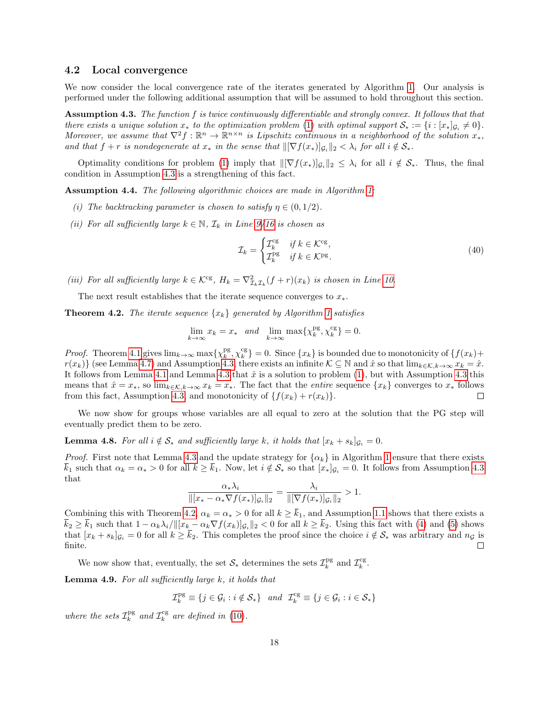#### <span id="page-17-0"></span>4.2 Local convergence

We now consider the local convergence rate of the iterates generated by Algorithm [1.](#page-7-0) Our analysis is performed under the following additional assumption that will be assumed to hold throughout this section.

<span id="page-17-1"></span>Assumption 4.3. The function f is twice continuously differentiable and strongly convex. It follows that that there exists a unique solution  $x_*$  to the optimization problem [\(1\)](#page-1-0) with optimal support  $S_* := \{i : [x_*]_{\mathcal{G}_i} \neq 0\}.$ Moreover, we assume that  $\nabla^2 f : \mathbb{R}^n \to \mathbb{R}^{n \times n}$  is Lipschitz continuous in a neighborhood of the solution  $x_*$ , and that  $f + r$  is nondegenerate at  $x_*$  in the sense that  $\|\nabla f(x_*)|_{\mathcal{G}_i}\|_2 < \lambda_i$  for all  $i \notin \mathcal{S}_*$ .

Optimality conditions for problem [\(1\)](#page-1-0) imply that  $\|\nabla f(x_*)\|_{\mathcal{G}_i}\|_2 \leq \lambda_i$  for all  $i \notin \mathcal{S}_*$ . Thus, the final condition in Assumption [4.3](#page-17-1) is a strengthening of this fact.

<span id="page-17-4"></span>Assumption 4.4. The following algorithmic choices are made in Algorithm [1:](#page-7-0)

- (i) The backtracking parameter is chosen to satisfy  $\eta \in (0,1/2)$ .
- (ii) For all sufficiently large  $k \in \mathbb{N}$ ,  $\mathcal{I}_k$  in Line [9/16](#page-7-0) is chosen as

<span id="page-17-6"></span>
$$
\mathcal{I}_k = \begin{cases} \mathcal{I}_k^{\text{cg}} & \text{if } k \in \mathcal{K}^{\text{cg}},\\ \mathcal{I}_k^{\text{pg}} & \text{if } k \in \mathcal{K}^{\text{pg}}. \end{cases} \tag{40}
$$

(iii) For all sufficiently large  $k \in \mathcal{K}^{\text{cg}}, H_k = \nabla^2_{\mathcal{I}_k} \mathcal{I}_k(f+r)(x_k)$  is chosen in Line [10.](#page-7-0)

The next result establishes that the iterate sequence converges to  $x_*$ .

<span id="page-17-2"></span>**Theorem 4.2.** The iterate sequence  $\{x_k\}$  generated by Algorithm [1](#page-7-0) satisfies

$$
\lim_{k \to \infty} x_k = x_* \quad and \quad \lim_{k \to \infty} \max \{ \chi_k^{\text{pg}}, \chi_k^{\text{cg}} \} = 0.
$$

*Proof.* Theorem [4.1](#page-15-3) gives  $\lim_{k\to\infty} \max\{\chi_k^{\text{pg}}, \chi_k^{\text{cg}}\} = 0$ . Since  $\{x_k\}$  is bounded due to monotonicity of  $\{f(x_k) + g(x_k)\}$  $r(x_k)$  (see Lemma [4.7\)](#page-15-0) and Assumption [4.3,](#page-17-1) there exists an infinite  $\mathcal{K} \subseteq \mathbb{N}$  and  $\hat{x}$  so that  $\lim_{k \in \mathcal{K}, k \to \infty} x_k = \hat{x}$ . It follows from Lemma [4.1](#page-8-1) and Lemma [4.3](#page-17-1) that  $\hat{x}$  is a solution to problem [\(1\)](#page-1-0), but with Assumption 4.3 this means that  $\hat{x} = x_*$ , so  $\lim_{k \in \mathcal{K}, k \to \infty} x_k = x_*$ . The fact that the *entire* sequence  $\{x_k\}$  converges to  $x_*$  follows from this fact, Assumption 4.3, and monotonicity of  $\{f(x_k) + r(x_k)\}\$ . from this fact, Assumption [4.3,](#page-17-1) and monotonicity of  $\{f(x_k) + r(x_k)\}.$ 

We now show for groups whose variables are all equal to zero at the solution that the PG step will eventually predict them to be zero.

<span id="page-17-3"></span>**Lemma 4.8.** For all  $i \notin S_*$  and sufficiently large k, it holds that  $[x_k + s_k]_{\mathcal{G}_i} = 0$ .

*Proof.* First note that Lemma [4.3](#page-10-5) and the update strategy for  $\{\alpha_k\}$  in Algorithm [1](#page-7-0) ensure that there exists  $\bar{k}_1$  such that  $\alpha_k = \alpha_* > 0$  for all  $k \ge \bar{k}_1$ . Now, let  $i \notin \mathcal{S}_*$  so that  $[x_*]_{\mathcal{G}_i} = 0$ . It follows from Assumption [4.3](#page-17-1) that

$$
\frac{\alpha_* \lambda_i}{\| [x_* - \alpha_* \nabla f(x_*)]_{\mathcal{G}_i} \|_2} = \frac{\lambda_i}{\| [\nabla f(x_*)]_{\mathcal{G}_i} \|_2} > 1.
$$

Combining this with Theorem [4.2,](#page-17-2)  $\alpha_k = \alpha_* > 0$  for all  $k \ge \bar{k}_1$ , and Assumption [1.1](#page-3-5) shows that there exists a  $k_2 \geq k_1$  such that  $1 - \alpha_k \lambda_i / \| [x_k - \alpha_k \nabla f(x_k)]_{\mathcal{G}_i} \|_2 < 0$  for all  $k \geq k_2$ . Using this fact with [\(4\)](#page-3-1) and [\(5\)](#page-3-6) shows that  $[x_k + s_k]_{\mathcal{G}_i} = 0$  for all  $k \ge \bar{k}_2$ . This completes the proof since the choice  $i \notin \mathcal{S}_*$  was arbitrary and  $n_{\mathcal{G}}$  is finite. finite.

We now show that, eventually, the set  $S_*$  determines the sets  $\mathcal{I}_k^{\text{pg}}$  and  $\mathcal{I}_k^{\text{cg}}$ .

<span id="page-17-5"></span>**Lemma 4.9.** For all sufficiently large  $k$ , it holds that

$$
\mathcal{I}_k^{\text{pg}} \equiv \{ j \in \mathcal{G}_i : i \notin \mathcal{S}_* \} \quad and \quad \mathcal{I}_k^{\text{cg}} \equiv \{ j \in \mathcal{G}_i : i \in \mathcal{S}_* \}
$$

where the sets  $\mathcal{I}_k^{\text{pg}}$  and  $\mathcal{I}_k^{\text{cg}}$  are defined in [\(10\)](#page-5-2).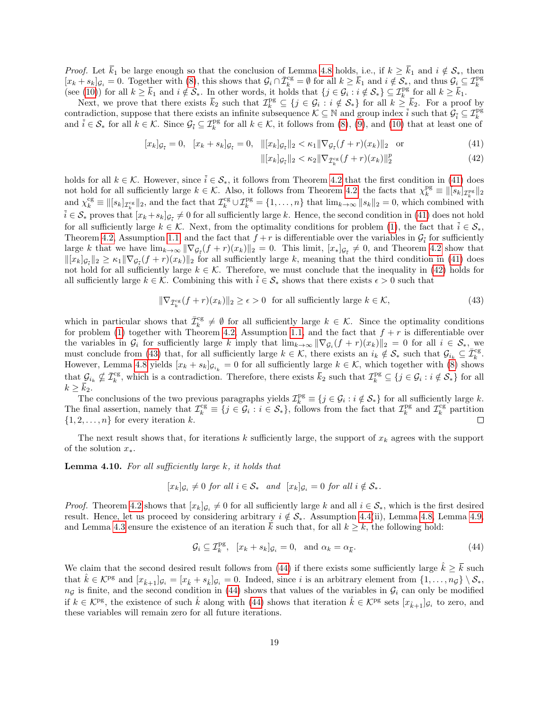*Proof.* Let  $\overline{k}_1$  be large enough so that the conclusion of Lemma [4.8](#page-17-3) holds, i.e., if  $k \geq \overline{k}_1$  and  $i \notin S_*$ , then  $[x_k + s_k]_{\mathcal{G}_i} = 0$ . Together with [\(8\)](#page-4-2), this shows that  $\mathcal{G}_i \cap \overline{\mathcal{I}}_k^{\text{cg}} = \emptyset$  for all  $k \ge \overline{k}_1$  and  $i \notin \mathcal{S}_*$ , and thus  $\mathcal{G}_i \subseteq \mathcal{I}_k^{\text{pg}}$  $(\text{see } (10))$  $(\text{see } (10))$  $(\text{see } (10))$  for all  $k \geq \overline{k}_1$  and  $i \notin \mathcal{S}_*$ . In other words, it holds that  $\{j \in \mathcal{G}_i : i \notin \mathcal{S}_*\} \subseteq \mathcal{I}_k^{\text{pg}}$  for all  $k \geq \overline{k}_1$ .

Next, we prove that there exists  $\bar{k}_2$  such that  $\mathcal{I}_k^{\text{pg}} \subseteq \{j \in \mathcal{G}_i : i \notin \mathcal{S}_*\}$  for all  $k \geq \bar{k}_2$ . For a proof by contradiction, suppose that there exists an infinite subsequence  $\mathcal{K} \subseteq \mathbb{N}$  and group index  $\overline{i}$  such that  $\mathcal{G}_{\overline{i}} \subseteq \mathcal{I}_{k}^{\text{pg}}$ <br>and  $\overline{i} \in \mathcal{S}_{*}$  for all  $k \in \mathcal{K}$ . Since  $\mathcal{G}_{\overline{i}} \subseteq \mathcal{I}_{k}^{\text{$ 

$$
[x_k]_{\mathcal{G}_{\bar{i}}} = 0, \quad [x_k + s_k]_{\mathcal{G}_{\bar{i}}} = 0, \quad ||[x_k]_{\mathcal{G}_{\bar{i}}}||_2 < \kappa_1 ||\nabla_{\mathcal{G}_{\bar{i}}}(f + r)(x_k)||_2 \quad \text{or} \tag{41}
$$

<span id="page-18-1"></span><span id="page-18-0"></span>
$$
\| [x_k]_{\mathcal{G}_{\bar{i}}} \|_2 < \kappa_2 \| \nabla_{\bar{\mathcal{I}}_k^{\text{cg}}} (f+r)(x_k) \|_2^p \tag{42}
$$

holds for all  $k \in \mathcal{K}$ . However, since  $\overline{i} \in \mathcal{S}_*$ , it follows from Theorem [4.2](#page-17-2) that the first condition in [\(41\)](#page-18-0) does not hold for all sufficiently large  $k \in \mathcal{K}$ . Also, it follows from Theorem [4.2,](#page-17-2) the facts that  $\chi_k^{\text{pg}} \equiv ||[s_k]_{\mathcal{I}_k^{\text{pg}}||_2}$ and  $\chi_k^{\text{cg}} \equiv ||[s_k]_{\mathcal{I}_k^{\text{cg}}||_2$ , and the fact that  $\mathcal{I}_k^{\text{cg}} \cup \mathcal{I}_k^{\text{pg}} = \{1, \ldots, n\}$  that  $\lim_{k \to \infty} ||s_k||_2 = 0$ , which combined with  $i \in \mathcal{S}_*$  proves that  $[x_k + s_k]_{\mathcal{G}_{\bar{i}}} \neq 0$  for all sufficiently large k. Hence, the second condition in [\(41\)](#page-18-0) does not hold for all sufficiently large  $k \in \mathcal{K}$ . Next, from the optimality conditions for problem [\(1\)](#page-1-0), the fact that  $\bar{i} \in \mathcal{S}_{*}$ , Theorem [4.2,](#page-17-2) Assumption [1.1,](#page-3-5) and the fact that  $f + r$  is differentiable over the variables in  $\mathcal{G}_{\bar{i}}$  for sufficiently large k that we have  $\lim_{k\to\infty} \|\nabla g_{\overline{i}}(f+r)(x_k)\|_2 = 0$ . This limit,  $[x_*]g_{\overline{i}} \neq 0$ , and Theorem [4.2](#page-17-2) show that  $\|[x_k]_{\mathcal{G}_{\bar{i}}}\|_2 \geq \kappa_1 \|\nabla_{\mathcal{G}_{\bar{i}}}(f+r)(x_k)\|_2$  for all sufficiently large k, meaning that the third condition in [\(41\)](#page-18-0) does not hold for all sufficiently large  $k \in \mathcal{K}$ . Therefore, we must conclude that the inequality in [\(42\)](#page-18-1) holds for all sufficiently large  $k \in \mathcal{K}$ . Combining this with  $\overline{i} \in \mathcal{S}_*$  shows that there exists  $\epsilon > 0$  such that

<span id="page-18-2"></span>
$$
\|\nabla_{\bar{\mathcal{I}}_k^{\text{cg}}}(f+r)(x_k)\|_2 \ge \epsilon > 0 \quad \text{for all sufficiently large } k \in \mathcal{K},\tag{43}
$$

which in particular shows that  $\bar{\mathcal{I}}_k^{\text{cg}} \neq \emptyset$  for all sufficiently large  $k \in \mathcal{K}$ . Since the optimality conditions for problem [\(1\)](#page-1-0) together with Theorem [4.2,](#page-17-2) Assumption [1.1,](#page-3-5) and the fact that  $f + r$  is differentiable over the variables in  $\mathcal{G}_i$  for sufficiently large k imply that  $\lim_{k\to\infty} \|\nabla_{\mathcal{G}_i}(f+r)(x_k)\|_2 = 0$  for all  $i \in \mathcal{S}_{*}$ , we must conclude from [\(43\)](#page-18-2) that, for all sufficiently large  $k \in \mathcal{K}$ , there exists an  $i_k \notin \mathcal{S}_*$  such that  $\mathcal{G}_{i_k} \subseteq \overline{\mathcal{I}}_k^{\text{cg}}$ . However, Lemma [4.8](#page-17-3) yields  $[x_k + s_k]_{\mathcal{G}_{i_k}} = 0$  for all sufficiently large  $k \in \mathcal{K}$ , which together with [\(8\)](#page-4-2) shows that  $\mathcal{G}_{i_k} \nsubseteq \overline{\mathcal{I}}_k^{\text{cg}}$ , which is a contradiction. Therefore, there exists  $\overline{k}_2$  such that  $\mathcal{I}_k^{\text{pg}} \subseteq \{j \in \mathcal{G}_i : i \notin \mathcal{S}_*\}$  for all  $k \geq \overline{k}_2$ .

The conclusions of the two previous paragraphs yields  $\mathcal{I}_k^{\text{pg}} \equiv \{j \in \mathcal{G}_i : i \notin \mathcal{S}_*\}$  for all sufficiently large k. The final assertion, namely that  $\mathcal{I}_k^{\text{cg}} \equiv \{j \in \mathcal{G}_i : i \in \mathcal{S}_*\}$ , follows from the fact that  $\mathcal{I}_k^{\text{pg}}$  and  $\mathcal{I}_k^{\text{cg}}$  partition  $\{1, 2, \ldots, n\}$  for every iteration k. П

The next result shows that, for iterations  $k$  sufficiently large, the support of  $x_k$  agrees with the support of the solution  $x_*$ .

<span id="page-18-4"></span>**Lemma 4.10.** For all sufficiently large  $k$ , it holds that

$$
[x_k]_{\mathcal{G}_i} \neq 0 \text{ for all } i \in \mathcal{S}_* \quad \text{and } [x_k]_{\mathcal{G}_i} = 0 \text{ for all } i \notin \mathcal{S}_*.
$$

*Proof.* Theorem [4.2](#page-17-2) shows that  $[x_k]_{\mathcal{G}_i} \neq 0$  for all sufficiently large k and all  $i \in \mathcal{S}_*$ , which is the first desired result. Hence, let us proceed by considering arbitrary  $i \notin S_*$ . Assumption [4.4\(](#page-17-4)ii), Lemma [4.8,](#page-17-3) Lemma [4.9,](#page-17-5) and Lemma [4.3](#page-10-5) ensure the existence of an iteration  $\bar{k}$  such that, for all  $k \geq \bar{k}$ , the following hold:

<span id="page-18-3"></span>
$$
\mathcal{G}_i \subseteq \mathcal{I}_k^{\text{pg}}, \ [x_k + s_k]_{\mathcal{G}_i} = 0, \text{ and } \alpha_k = \alpha_{\overline{k}}.
$$
\n
$$
(44)
$$

We claim that the second desired result follows from [\(44\)](#page-18-3) if there exists some sufficiently large  $k \geq \overline{k}$  such that  $\hat{k} \in \mathcal{K}^{\text{pg}}$  and  $[x_{\hat{k}+1}]g_i = [x_{\hat{k}} + s_{\hat{k}}]g_i = 0$ . Indeed, since i is an arbitrary element from  $\{1, \ldots, n_{\mathcal{G}}\} \setminus \mathcal{S}_*,$  $n_{\mathcal{G}}$  is finite, and the second condition in [\(44\)](#page-18-3) shows that values of the variables in  $\mathcal{G}_i$  can only be modified if  $k \in \mathcal{K}^{\text{pg}}$ , the existence of such  $\hat{k}$  along with [\(44\)](#page-18-3) shows that iteration  $\hat{k} \in \mathcal{K}^{\text{pg}}$  sets  $[x_{\hat{k}+1}]g_i$  to zero, and these variables will remain zero for all future iterations.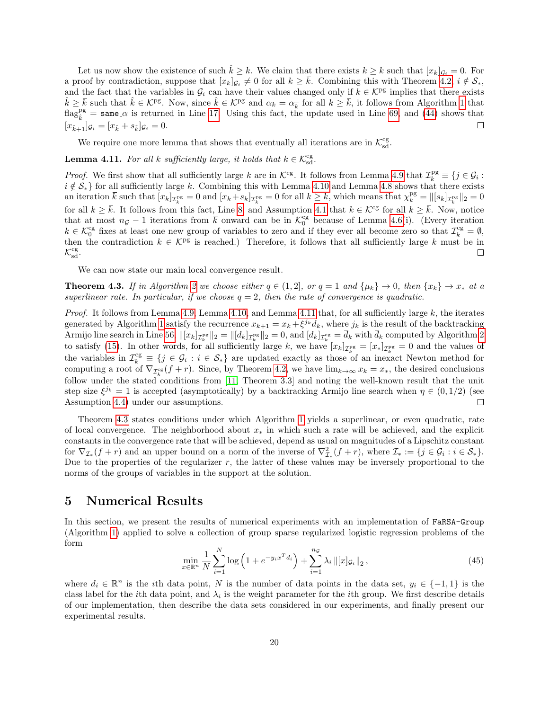Let us now show the existence of such  $\hat{k} \geq \overline{k}$ . We claim that there exists  $k \geq \overline{k}$  such that  $[x_k]_{\mathcal{G}_i} = 0$ . For a proof by contradiction, suppose that  $[x_k]_{\mathcal{G}_i} \neq 0$  for all  $k \geq k$ . Combining this with Theorem [4.2,](#page-17-2)  $i \notin \mathcal{S}_*,$ and the fact that the variables in  $\mathcal{G}_i$  can have their values changed only if  $k \in \mathcal{K}^{\text{pg}}$  implies that there exists  $\hat{k} \geq \overline{k}$  such that  $\hat{k} \in \mathcal{K}^{\text{pg}}$ . Now, since  $\hat{k} \in \mathcal{K}^{\text{pg}}$  and  $\alpha_k = \alpha_{\overline{k}}$  for all  $k \geq \overline{k}$ , it follows from Algorithm [1](#page-7-0) that  $\text{flag}^{\text{pg}}$  = same  $\alpha$  is returned in Line [17.](#page-7-0) Using this fact, the update used in Line [69,](#page-9-1) and [\(44\)](#page-18-3) shows that  $[x_{\hat{k}+1}]_{\mathcal{G}_i} = [x_{\hat{k}} + s_{\hat{k}}]_{\mathcal{G}_i} = 0.$ 

We require one more lemma that shows that eventually all iterations are in  $\mathcal{K}^{\text{cg}}_{\text{sd}}.$ 

<span id="page-19-1"></span>**Lemma 4.11.** For all k sufficiently large, it holds that  $k \in \mathcal{K}_{sd}^{cg}$ .

*Proof.* We first show that all sufficiently large k are in  $\mathcal{K}^{\text{cg}}$ . It follows from Lemma [4.9](#page-17-5) that  $\mathcal{I}_k^{\text{pg}} \equiv \{j \in \mathcal{G}_i :$  $i \notin S_*$  for all sufficiently large k. Combining this with Lemma [4.10](#page-18-4) and Lemma [4.8](#page-17-3) shows that there exists an iteration  $\bar{k}$  such that  $[x_k]_{\mathcal{I}_k^{\text{pg}}} = 0$  and  $[x_k + s_k]_{\mathcal{I}_k^{\text{pg}}} = 0$  for all  $k \geq \bar{k}$ , which means that  $\chi_k^{\text{pg}} = ||[s_k]_{\mathcal{I}_k^{\text{pg}}}||_2 = 0$ for all  $k \geq \overline{k}$ . It follows from this fact, Line [8,](#page-7-0) and Assumption [4.1](#page-9-3) that  $k \in \mathcal{K}^{\text{cg}}$  for all  $k \geq \overline{k}$ . Now, notice that at most  $n_g - 1$  iterations from  $\bar{k}$  onward can be in  $\mathcal{K}_0^{\text{cg}}$  because of Lemma [4.6\(](#page-12-2)i). (Every iteration  $k \in \mathcal{K}_0^{\text{cg}}$  fixes at least one new group of variables to zero and if they ever all become zero so that  $\mathcal{I}_k^{\text{cg}} = \emptyset$ , then the contradiction  $k \in \mathcal{K}^{pg}$  is reached.) Therefore, it follows that all sufficiently large k must be in  $\mathcal{K}^{cg}$ .  $\mathcal{K}^{\text{cg}}_{\text{sd}}$ .

We can now state our main local convergence result.

<span id="page-19-2"></span>**Theorem 4.3.** If in Algorithm [2](#page-7-1) we choose either  $q \in (1,2]$ , or  $q = 1$  and  $\{\mu_k\} \to 0$ , then  $\{x_k\} \to x_*$  at a superlinear rate. In particular, if we choose  $q = 2$ , then the rate of convergence is quadratic.

*Proof.* It follows from Lemma [4.9,](#page-17-5) Lemma [4.10,](#page-18-4) and Lemma [4.11](#page-19-1) that, for all sufficiently large  $k$ , the iterates generated by Algorithm [1](#page-7-0) satisfy the recurrence  $x_{k+1} = x_k + \xi^{j_k} d_k$ , where  $j_k$  is the result of the backtracking Armijo line search in Line [56,](#page-8-2)  $\|[x_k]_{\mathcal{I}_k^{\text{PS}}}\|_2 = \|[d_k]_{\mathcal{I}_k^{\text{PS}}}\|_2 = 0$ , and  $[d_k]_{\mathcal{I}_k^{\text{cg}} = d_k$  with  $d_k$  computed by Algorithm [2](#page-7-1) to satisfy [\(15\)](#page-7-3). In other words, for all sufficiently large k, we have  $[x_k]_{\mathcal{I}_k^{\text{pg}}} = [x_*]_{\mathcal{I}_k^{\text{pg}}} = 0$  and the values of the variables in  $\mathcal{I}_k^{\text{cg}} \equiv \{j \in \mathcal{G}_i : i \in \mathcal{S}_*\}$  are updated exactly as those of an inexact Newton method for computing a root of  $\nabla_{\mathcal{I}_k^{cg}}(f+r)$ . Since, by Theorem [4.2,](#page-17-2) we have  $\lim_{k\to\infty}x_k=x_*$ , the desired conclusions follow under the stated conditions from [\[11,](#page-26-17) Theorem 3.3] and noting the well-known result that the unit step size  $\xi^{j_k} = 1$  is accepted (asymptotically) by a backtracking Armijo line search when  $\eta \in (0, 1/2)$  (see Assumption [4.4\)](#page-17-4) under our assumptions.

Theorem [4.3](#page-19-2) states conditions under which Algorithm [1](#page-7-0) yields a superlinear, or even quadratic, rate of local convergence. The neighborhood about  $x_*$  in which such a rate will be achieved, and the explicit constants in the convergence rate that will be achieved, depend as usual on magnitudes of a Lipschitz constant for  $\nabla_{\mathcal{I}_{*}}(f+r)$  and an upper bound on a norm of the inverse of  $\nabla_{\mathcal{I}_{*}}^{2}(f+r)$ , where  $\mathcal{I}_{*} := \{j \in \mathcal{G}_{i} : i \in \mathcal{S}_{*}\}.$ Due to the properties of the regularizer  $r$ , the latter of these values may be inversely proportional to the norms of the groups of variables in the support at the solution.

## <span id="page-19-0"></span>5 Numerical Results

In this section, we present the results of numerical experiments with an implementation of FaRSA-Group (Algorithm [1\)](#page-7-0) applied to solve a collection of group sparse regularized logistic regression problems of the form

<span id="page-19-3"></span>
$$
\min_{x \in \mathbb{R}^n} \frac{1}{N} \sum_{i=1}^N \log \left( 1 + e^{-y_i x^T d_i} \right) + \sum_{i=1}^{n_{\mathcal{G}}} \lambda_i \left\| [x]_{\mathcal{G}_i} \right\|_2, \tag{45}
$$

where  $d_i \in \mathbb{R}^n$  is the *i*th data point, N is the number of data points in the data set,  $y_i \in \{-1, 1\}$  is the class label for the *i*th data point, and  $\lambda_i$  is the weight parameter for the *i*th group. We first describe details of our implementation, then describe the data sets considered in our experiments, and finally present our experimental results.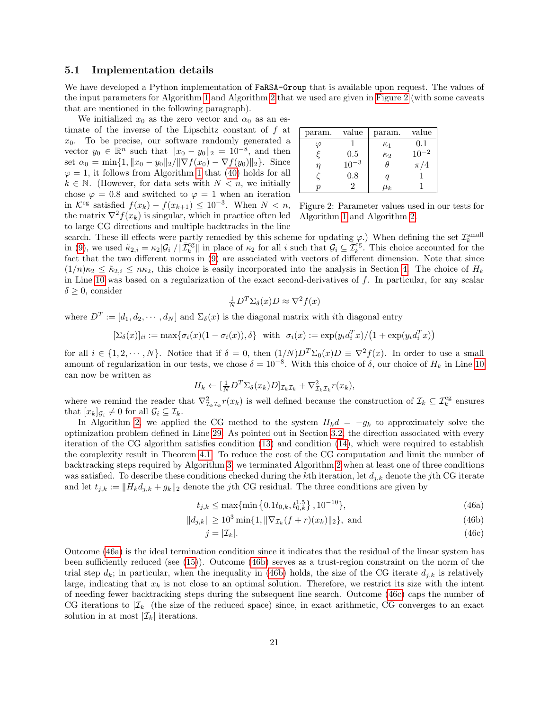#### 5.1 Implementation details

We have developed a Python implementation of **FaRSA-Group** that is available upon request. The values of the input parameters for Algorithm [1](#page-7-0) and Algorithm [2](#page-7-1) that we used are given in [Figure 2](#page-20-0) (with some caveats that are mentioned in the following paragraph).

We initialized  $x_0$  as the zero vector and  $\alpha_0$  as an estimate of the inverse of the Lipschitz constant of f at  $x_0$ . To be precise, our software randomly generated a vector  $y_0 \in \mathbb{R}^n$  such that  $||x_0 - y_0||_2 = 10^{-8}$ , and then set  $\alpha_0 = \min\{1, ||x_0 - y_0||_2 / ||\nabla f(x_0) - \nabla f(y_0)||_2\}$ . Since  $\varphi = 1$  $\varphi = 1$ , it follows from Algorithm 1 that [\(40\)](#page-17-6) holds for all  $k \in \mathbb{N}$ . (However, for data sets with  $N < n$ , we initially chose  $\varphi = 0.8$  and switched to  $\varphi = 1$  when an iteration in  $\mathcal{K}^{\text{cg}}$  satisfied  $f(x_k) - f(x_{k+1}) \leq 10^{-3}$ . When  $N < n$ , the matrix  $\nabla^2 f(x_k)$  is singular, which in practice often led to large CG directions and multiple backtracks in the line

<span id="page-20-0"></span>

| param. | value     | param.     | value     |
|--------|-----------|------------|-----------|
|        |           | $\kappa_1$ | 0.1       |
|        | 0.5       | $\kappa_2$ | $10^{-2}$ |
| η      | $10^{-3}$ | Ĥ          | $\pi/4$   |
|        | 0.8       | q          |           |
|        |           | $\mu_k$    |           |

Figure 2: Parameter values used in our tests for Algorithm [1](#page-7-0) and Algorithm [2.](#page-7-1)

search. These ill effects were partly remedied by this scheme for updating  $\varphi$ .) When defining the set  $\mathcal{I}_k^{\text{small}}$ in [\(9\)](#page-4-7), we used  $\tilde{\kappa}_{2,i} = \kappa_2 |\mathcal{G}_i| / ||\bar{\mathcal{I}}_k^{\text{cg}}||$  in place of  $\kappa_2$  for all i such that  $\mathcal{G}_i \subseteq \bar{\mathcal{I}}_k^{\text{cg}}$ . This choice accounted for the fact that the two different norms in [\(9\)](#page-4-7) are associated with vectors of different dimension. Note that since  $(1/n)\kappa_2 \leq \tilde{\kappa}_{2,i} \leq n\kappa_2$ , this choice is easily incorporated into the analysis in Section [4.](#page-8-0) The choice of  $H_k$ in Line [10](#page-7-0) was based on a regularization of the exact second-derivatives of  $f$ . In particular, for any scalar  $\delta \geq 0$ , consider

$$
\frac{1}{N}D^T\Sigma_\delta(x)D \approx \nabla^2 f(x)
$$

where  $D^T := [d_1, d_2, \dots, d_N]$  and  $\Sigma_{\delta}(x)$  is the diagonal matrix with *i*th diagonal entry

$$
[\Sigma_{\delta}(x)]_{ii} := \max\{\sigma_i(x)(1-\sigma_i(x)), \delta\} \text{ with } \sigma_i(x) := \exp(y_i d_i^T x) / (1 + \exp(y_i d_i^T x))
$$

for all  $i \in \{1, 2, \dots, N\}$ . Notice that if  $\delta = 0$ , then  $(1/N)D^T\Sigma_0(x)D \equiv \nabla^2 f(x)$ . In order to use a small amount of regularization in our tests, we chose  $\delta = 10^{-8}$  $\delta = 10^{-8}$  $\delta = 10^{-8}$ . With this choice of  $\delta$ , our choice of  $H_k$  in Line 10 can now be written as

$$
H_k \leftarrow [\frac{1}{N} D^T \Sigma_{\delta}(x_k) D]_{\mathcal{I}_k \mathcal{I}_k} + \nabla^2_{\mathcal{I}_k \mathcal{I}_k} r(x_k),
$$

where we remind the reader that  $\nabla^2_{\mathcal{I}_k\mathcal{I}_k} r(x_k)$  is well defined because the construction of  $\mathcal{I}_k \subseteq \mathcal{I}_k^{\text{cg}}$  ensures that  $[x_k]_{\mathcal{G}_i} \neq 0$  for all  $\mathcal{G}_i \subseteq \mathcal{I}_k$ .

In Algorithm [2,](#page-7-1) we applied the CG method to the system  $H_kd = -g_k$  to approximately solve the optimization problem defined in Line [29.](#page-7-4) As pointed out in Section [3.2,](#page-5-0) the direction associated with every iteration of the CG algorithm satisfies condition [\(13\)](#page-7-2) and condition [\(14\)](#page-7-5), which were required to establish the complexity result in Theorem [4.1.](#page-15-3) To reduce the cost of the CG computation and limit the number of backtracking steps required by Algorithm [3,](#page-8-2) we terminated Algorithm [2](#page-7-1) when at least one of three conditions was satisfied. To describe these conditions checked during the kth iteration, let  $d_{j,k}$  denote the jth CG iterate and let  $t_{j,k} := ||H_k d_{j,k} + g_k||_2$  denote the j<sup>th</sup> CG residual. The three conditions are given by

$$
t_{j,k} \le \max\{\min\left\{0.1t_{0,k}, t_{0,k}^{1.5}\right\}, 10^{-10}\},\tag{46a}
$$

$$
||d_{j,k}|| \ge 10^3 \min\{1, \|\nabla_{\mathcal{I}_k}(f+r)(x_k)\|_2\}, \text{ and } (46b)
$$

<span id="page-20-3"></span><span id="page-20-2"></span><span id="page-20-1"></span>
$$
j = |\mathcal{I}_k|.\tag{46c}
$$

Outcome [\(46a\)](#page-20-1) is the ideal termination condition since it indicates that the residual of the linear system has been sufficiently reduced (see [\(15\)](#page-7-3)). Outcome [\(46b\)](#page-20-2) serves as a trust-region constraint on the norm of the trial step  $d_k$ ; in particular, when the inequality in [\(46b\)](#page-20-2) holds, the size of the CG iterate  $d_{j,k}$  is relatively large, indicating that  $x_k$  is not close to an optimal solution. Therefore, we restrict its size with the intent of needing fewer backtracking steps during the subsequent line search. Outcome [\(46c\)](#page-20-3) caps the number of CG iterations to  $|\mathcal{I}_k|$  (the size of the reduced space) since, in exact arithmetic, CG converges to an exact solution in at most  $|\mathcal{I}_k|$  iterations.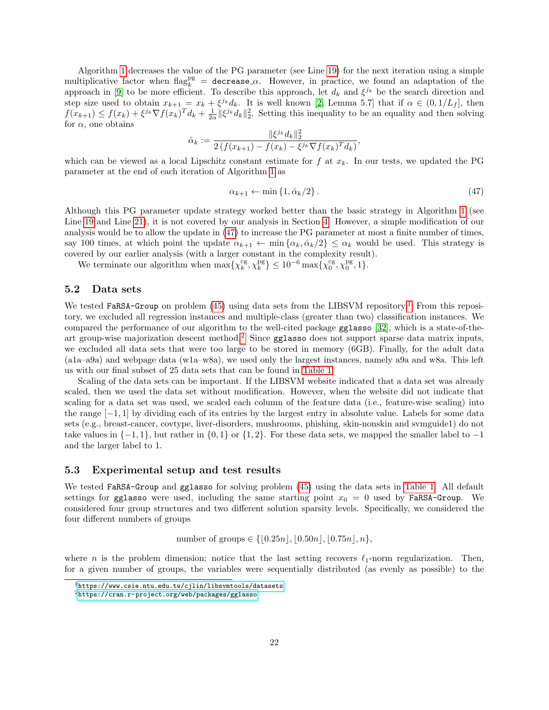Algorithm [1](#page-7-0) decreases the value of the PG parameter (see Line [19\)](#page-7-0) for the next iteration using a simple multiplicative factor when  $\text{flag}_k^{\text{pg}} = \text{decrease}_{\alpha}$ . However, in practice, we found an adaptation of the approach in [\[9\]](#page-26-18) to be more efficient. To describe this approach, let  $d_k$  and  $\xi^{j_k}$  be the search direction and step size used to obtain  $x_{k+1} = x_k + \xi^{j_k} d_k$ . It is well known [\[2,](#page-25-2) Lemma 5.7] that if  $\alpha \in (0, 1/L_f]$ , then  $f(x_{k+1}) \leq f(x_k) + \xi^{j_k} \nabla f(x_k)^T d_k + \frac{1}{2\alpha} ||\xi^{j_k} d_k||_2^2$ . Setting this inequality to be an equality and then solving for  $\alpha$ , one obtains

$$
\hat{\alpha}_k := \frac{\|\xi^{j_k} d_k\|_2^2}{2\left(f(x_{k+1}) - f(x_k) - \xi^{j_k}\nabla f(x_k)^T d_k\right)},
$$

which can be viewed as a local Lipschitz constant estimate for  $f$  at  $x_k$ . In our tests, we updated the PG parameter at the end of each iteration of Algorithm [1](#page-7-0) as

<span id="page-21-0"></span>
$$
\alpha_{k+1} \leftarrow \min\left\{1, \hat{\alpha}_k/2\right\}.\tag{47}
$$

Although this PG parameter update strategy worked better than the basic strategy in Algorithm [1](#page-7-0) (see Line [19](#page-7-0) and Line [21\)](#page-7-0), it is not covered by our analysis in Section [4.](#page-8-0) However, a simple modification of our analysis would be to allow the update in [\(47\)](#page-21-0) to increase the PG parameter at most a finite number of times, say 100 times, at which point the update  $\alpha_{k+1} \leftarrow \min{\{\alpha_k, \hat{\alpha}_k/2\}} \leq \alpha_k$  would be used. This strategy is covered by our earlier analysis (with a larger constant in the complexity result).

We terminate our algorithm when  $\max\{\chi_k^{\text{cg}}, \chi_k^{\text{pg}}\} \leq 10^{-6} \max\{\chi_0^{\text{cg}}, \chi_0^{\text{pg}}, 1\}.$ 

#### <span id="page-21-3"></span>5.2 Data sets

We tested FaRSA-Group on problem  $(45)$  using data sets from the LIBSVM repository.<sup>[1](#page-21-1)</sup> From this repository, we excluded all regression instances and multiple-class (greater than two) classification instances. We compared the performance of our algorithm to the well-cited package gglasso [\[32\]](#page-27-8), which is a state-of-the-art group-wise majorization descent method.<sup>[2](#page-21-2)</sup> Since gglasso does not support sparse data matrix inputs, we excluded all data sets that were too large to be stored in memory (6GB). Finally, for the adult data (a1a–a9a) and webpage data (w1a–w8a), we used only the largest instances, namely a9a and w8a. This left us with our final subset of 25 data sets that can be found in [Table 1.](#page-22-0)

Scaling of the data sets can be important. If the LIBSVM website indicated that a data set was already scaled, then we used the data set without modification. However, when the website did not indicate that scaling for a data set was used, we scaled each column of the feature data (i.e., feature-wise scaling) into the range [−1, 1] by dividing each of its entries by the largest entry in absolute value. Labels for some data sets (e.g., breast-cancer, covtype, liver-disorders, mushrooms, phishing, skin-nonskin and svmguide1) do not take values in  $\{-1, 1\}$ , but rather in  $\{0, 1\}$  or  $\{1, 2\}$ . For these data sets, we mapped the smaller label to  $-1$ and the larger label to 1.

#### 5.3 Experimental setup and test results

We tested FaRSA-Group and gglasso for solving problem  $(45)$  using the data sets in [Table 1.](#page-22-0) All default settings for gglasso were used, including the same starting point  $x_0 = 0$  used by FaRSA-Group. We considered four group structures and two different solution sparsity levels. Specifically, we considered the four different numbers of groups

number of groups ∈ { $\{0.25n\}, 0.50n\}, 0.75n\}, n$ },

where n is the problem dimension; notice that the last setting recovers  $\ell_1$ -norm regularization. Then, for a given number of groups, the variables were sequentially distributed (as evenly as possible) to the

<span id="page-21-1"></span> $1$ <https://www.csie.ntu.edu.tw/cjlin/libsvmtools/datasets>

<span id="page-21-2"></span><sup>2</sup><https://cran.r-project.org/web/packages/gglasso>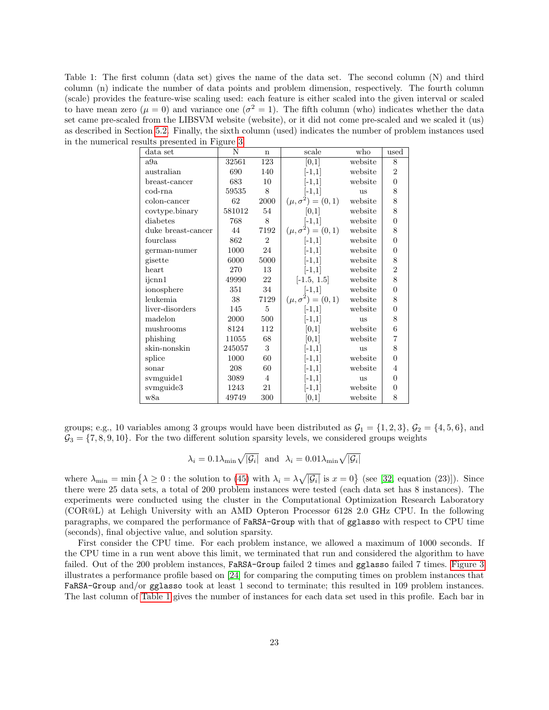<span id="page-22-0"></span>Table 1: The first column (data set) gives the name of the data set. The second column (N) and third column (n) indicate the number of data points and problem dimension, respectively. The fourth column (scale) provides the feature-wise scaling used: each feature is either scaled into the given interval or scaled to have mean zero ( $\mu = 0$ ) and variance one ( $\sigma^2 = 1$ ). The fifth column (who) indicates whether the data set came pre-scaled from the LIBSVM website (website), or it did not come pre-scaled and we scaled it (us) as described in Section [5.2.](#page-21-3) Finally, the sixth column (used) indicates the number of problem instances used in the numerical results presented in Figure [3.](#page-23-2)

| $\frac{1}{2}$      |        |                 |                            |           |                |  |  |
|--------------------|--------|-----------------|----------------------------|-----------|----------------|--|--|
| data set           | N      | $\mathbf n$     | scale                      | who       | used           |  |  |
| a9a                | 32561  | 123             | $[0,\overline{1}]$         | website   | 8              |  |  |
| australian         | 690    | 140             | $[-1,1]$                   | website   | $\overline{2}$ |  |  |
| breast-cancer      | 683    | 10              | $[-1,1]$                   | website   | $\overline{0}$ |  |  |
| cod-rna            | 59535  | 8               | $[-1,1]$                   | <b>us</b> | 8              |  |  |
| colon-cancer       | 62     | 2000            | $(\mu, \sigma^2) = (0, 1)$ | website   | 8              |  |  |
| covtype.binary     | 581012 | 54              | [0,1]                      | website   | 8              |  |  |
| diabetes           | 768    | 8               | $[-1,1]$                   | website   | $\overline{0}$ |  |  |
| duke breast-cancer | 44     | 7192            | $(\mu, \sigma^2) = (0, 1)$ | website   | 8              |  |  |
| fourclass          | 862    | $\overline{2}$  | $[-1,1]$                   | website   | $\overline{0}$ |  |  |
| german-numer       | 1000   | 24              | $[-1,1]$                   | website   | $\overline{0}$ |  |  |
| gisette            | 6000   | 5000            | $[-1,1]$                   | website   | 8              |  |  |
| heart              | 270    | 13              | $[-1,1]$                   | website   | $\overline{2}$ |  |  |
| ijcnn1             | 49990  | 22              | $[-1.5, 1.5]$              | website   | 8              |  |  |
| ionosphere         | 351    | 34              | $[-1,1]$                   | website   | $\theta$       |  |  |
| leukemia           | 38     | 7129            | $(\mu, \sigma^2) = (0, 1)$ | website   | 8              |  |  |
| liver-disorders    | 145    | $5\overline{)}$ | $[-1,1]$                   | website   | $\overline{0}$ |  |  |
| madelon            | 2000   | 500             | $[-1,1]$                   | <b>us</b> | 8              |  |  |
| mushrooms          | 8124   | 112             | [0,1]                      | website   | 6              |  |  |
| phishing           | 11055  | 68              | [0,1]                      | website   | $\overline{7}$ |  |  |
| skin-nonskin       | 245057 | 3               | $[-1,1]$                   | us        | 8              |  |  |
| splice             | 1000   | 60              | $[-1,1]$                   | website   | $\theta$       |  |  |
| sonar              | 208    | 60              | $[-1,1]$                   | website   | 4              |  |  |
| symguide1          | 3089   | 4               | $[-1,1]$                   | us        | $\theta$       |  |  |
| symguide3          | 1243   | 21              | $[-1,1]$                   | website   | $\theta$       |  |  |
| w8a                | 49749  | 300             | [0,1]                      | website   | 8              |  |  |

groups; e.g., 10 variables among 3 groups would have been distributed as  $\mathcal{G}_1 = \{1, 2, 3\}, \mathcal{G}_2 = \{4, 5, 6\},\$ and  $\mathcal{G}_3 = \{7, 8, 9, 10\}$ . For the two different solution sparsity levels, we considered groups weights

$$
\lambda_i = 0.1 \lambda_{\min} \sqrt{|\mathcal{G}_i|} \ \ \text{and} \ \ \lambda_i = 0.01 \lambda_{\min} \sqrt{|\mathcal{G}_i|}
$$

where  $\lambda_{\min} = \min \{ \lambda \geq 0 : \text{the solution to (45) with } \lambda_i = \lambda \sqrt{|\mathcal{G}_i|} \text{ is } x = 0 \}$  $\lambda_{\min} = \min \{ \lambda \geq 0 : \text{the solution to (45) with } \lambda_i = \lambda \sqrt{|\mathcal{G}_i|} \text{ is } x = 0 \}$  $\lambda_{\min} = \min \{ \lambda \geq 0 : \text{the solution to (45) with } \lambda_i = \lambda \sqrt{|\mathcal{G}_i|} \text{ is } x = 0 \}$  (see [\[32,](#page-27-8) equation (23)]). Since there were 25 data sets, a total of 200 problem instances were tested (each data set has 8 instances). The experiments were conducted using the cluster in the Computational Optimization Research Laboratory (COR@L) at Lehigh University with an AMD Opteron Processor 6128 2.0 GHz CPU. In the following paragraphs, we compared the performance of FaRSA-Group with that of gglasso with respect to CPU time (seconds), final objective value, and solution sparsity.

First consider the CPU time. For each problem instance, we allowed a maximum of 1000 seconds. If the CPU time in a run went above this limit, we terminated that run and considered the algorithm to have failed. Out of the 200 problem instances, FaRSA-Group failed 2 times and gglasso failed 7 times. [Figure 3](#page-23-2) illustrates a performance profile based on [\[24\]](#page-27-10) for comparing the computing times on problem instances that FaRSA-Group and/or gglasso took at least 1 second to terminate; this resulted in 109 problem instances. The last column of [Table 1](#page-22-0) gives the number of instances for each data set used in this profile. Each bar in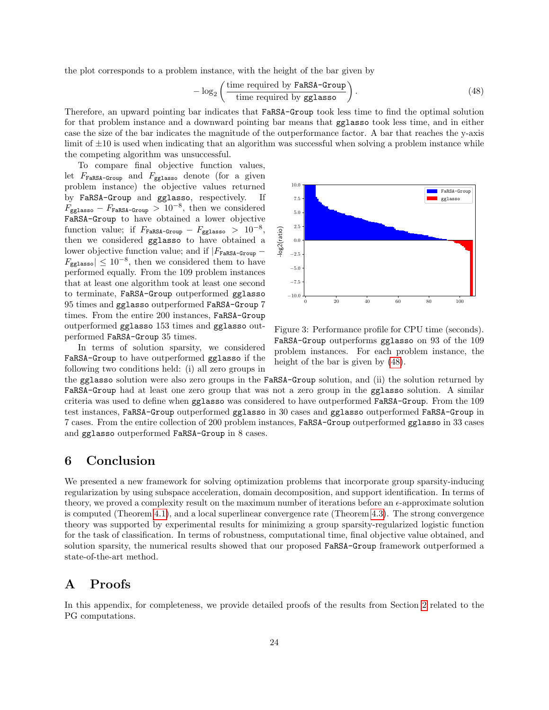the plot corresponds to a problem instance, with the height of the bar given by

<span id="page-23-3"></span>
$$
-\log_2\left(\frac{\text{time required by } \text{FARSA-Group}}{\text{time required by } \text{gglasso}}\right). \tag{48}
$$

Therefore, an upward pointing bar indicates that FaRSA-Group took less time to find the optimal solution for that problem instance and a downward pointing bar means that gglasso took less time, and in either case the size of the bar indicates the magnitude of the outperformance factor. A bar that reaches the y-axis limit of  $\pm 10$  is used when indicating that an algorithm was successful when solving a problem instance while the competing algorithm was unsuccessful.

To compare final objective function values, let  $F_{\texttt{FaRSA-Group}}$  and  $F_{\texttt{gglasso}}$  denote (for a given problem instance) the objective values returned by FaRSA-Group and gglasso, respectively. If  $F_{\text{gglasso}} - F_{\text{FaRSA-Group}} > 10^{-8}$ , then we considered FaRSA-Group to have obtained a lower objective function value; if  $F_{\texttt{FaRSA-Group}} - F_{\texttt{gglasso}} > 10^{-8}$ , then we considered gglasso to have obtained a lower objective function value; and if  $|F_{\tt FARSA-Group}$  –  $F_{\text{gglasso}} \leq 10^{-8}$ , then we considered them to have performed equally. From the 109 problem instances that at least one algorithm took at least one second to terminate, FaRSA-Group outperformed gglasso 95 times and gglasso outperformed FaRSA-Group 7 times. From the entire 200 instances, FaRSA-Group outperformed gglasso 153 times and gglasso outperformed FaRSA-Group 35 times.

In terms of solution sparsity, we considered FaRSA-Group to have outperformed gglasso if the following two conditions held: (i) all zero groups in



<span id="page-23-2"></span>Figure 3: Performance profile for CPU time (seconds). FaRSA-Group outperforms gglasso on 93 of the 109 problem instances. For each problem instance, the height of the bar is given by [\(48\)](#page-23-3).

the gglasso solution were also zero groups in the FaRSA-Group solution, and (ii) the solution returned by FaRSA-Group had at least one zero group that was not a zero group in the gglasso solution. A similar criteria was used to define when gglasso was considered to have outperformed FaRSA-Group. From the 109 test instances, FaRSA-Group outperformed gglasso in 30 cases and gglasso outperformed FaRSA-Group in 7 cases. From the entire collection of 200 problem instances, FaRSA-Group outperformed gglasso in 33 cases and gglasso outperformed FaRSA-Group in 8 cases.

## <span id="page-23-0"></span>6 Conclusion

We presented a new framework for solving optimization problems that incorporate group sparsity-inducing regularization by using subspace acceleration, domain decomposition, and support identification. In terms of theory, we proved a complexity result on the maximum number of iterations before an  $\epsilon$ -approximate solution is computed (Theorem [4.1\)](#page-15-3), and a local superlinear convergence rate (Theorem [4.3\)](#page-19-2). The strong convergence theory was supported by experimental results for minimizing a group sparsity-regularized logistic function for the task of classification. In terms of robustness, computational time, final objective value obtained, and solution sparsity, the numerical results showed that our proposed FaRSA-Group framework outperformed a state-of-the-art method.

## <span id="page-23-1"></span>A Proofs

In this appendix, for completeness, we provide detailed proofs of the results from Section [2](#page-3-0) related to the PG computations.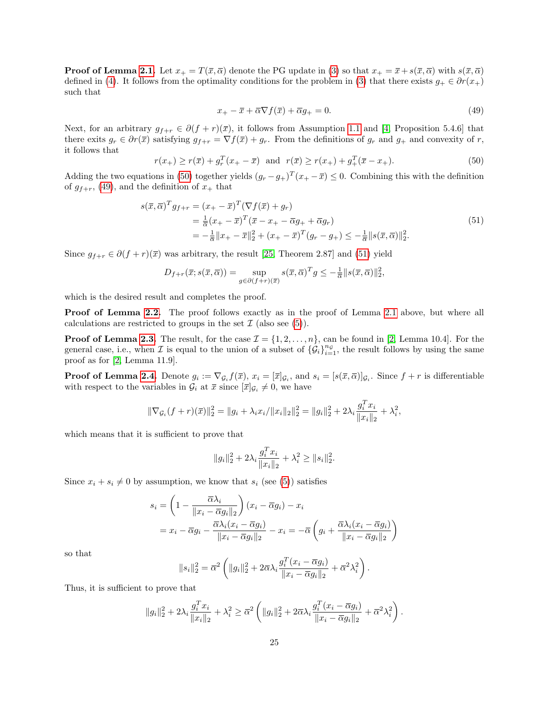**Proof of Lemma [2.1.](#page-3-3)** Let  $x_+ = T(\bar{x}, \bar{\alpha})$  denote the PG update in [\(3\)](#page-3-2) so that  $x_+ = \bar{x} + s(\bar{x}, \bar{\alpha})$  with  $s(\bar{x}, \bar{\alpha})$ defined in [\(4\)](#page-3-1). It follows from the optimality conditions for the problem in [\(3\)](#page-3-2) that there exists  $g_+ \in \partial r(x_+)$ such that

<span id="page-24-1"></span>
$$
x_{+} - \overline{x} + \overline{\alpha}\nabla f(\overline{x}) + \overline{\alpha}g_{+} = 0. \tag{49}
$$

Next, for an arbitrary  $g_{f+r} \in \partial (f+r)(\overline{x})$ , it follows from Assumption [1.1](#page-3-5) and [\[4,](#page-26-19) Proposition 5.4.6] that there exits  $g_r \in \partial r(\bar{x})$  satisfying  $g_{f+r} = \nabla f(\bar{x}) + g_r$ . From the definitions of  $g_r$  and  $g_+$  and convexity of r, it follows that

<span id="page-24-0"></span>
$$
r(x_{+}) \ge r(\overline{x}) + g_{r}^{T}(x_{+} - \overline{x}) \quad \text{and} \quad r(\overline{x}) \ge r(x_{+}) + g_{+}^{T}(\overline{x} - x_{+}). \tag{50}
$$

Adding the two equations in [\(50\)](#page-24-0) together yields  $(g_r - g_+)^T (x_+ - \overline{x}) \leq 0$ . Combining this with the definition of  $g_{f+r}$ , [\(49\)](#page-24-1), and the definition of  $x_+$  that

<span id="page-24-2"></span>
$$
s(\bar{x}, \bar{\alpha})^T g_{f+r} = (x_+ - \bar{x})^T (\nabla f(\bar{x}) + g_r)
$$
  
=  $\frac{1}{\bar{\alpha}} (x_+ - \bar{x})^T (\bar{x} - x_+ - \bar{\alpha}g_+ + \bar{\alpha}g_r)$   
=  $-\frac{1}{\bar{\alpha}} ||x_+ - \bar{x}||_2^2 + (x_+ - \bar{x})^T (g_r - g_+) \leq -\frac{1}{\bar{\alpha}} ||s(\bar{x}, \bar{\alpha})||_2^2.$  (51)

Since  $g_{f+r} \in \partial (f+r)(\overline{x})$  was arbitrary, the result [\[25,](#page-27-11) Theorem 2.87] and [\(51\)](#page-24-2) yield

$$
D_{f+r}(\overline{x}; s(\overline{x}, \overline{\alpha})) = \sup_{g \in \partial (f+r)(\overline{x})} s(\overline{x}, \overline{\alpha})^T g \leq -\frac{1}{\overline{\alpha}} ||s(\overline{x}, \overline{\alpha})||_2^2,
$$

which is the desired result and completes the proof.

**Proof of Lemma [2.2.](#page-4-5)** The proof follows exactly as in the proof of Lemma [2.1](#page-3-3) above, but where all calculations are restricted to groups in the set  $\mathcal I$  (also see [\(5\)](#page-3-6)).

**Proof of Lemma [2.3.](#page-4-3)** The result, for the case  $\mathcal{I} = \{1, 2, ..., n\}$ , can be found in [\[2,](#page-25-2) Lemma 10.4]. For the general case, i.e., when  $\mathcal I$  is equal to the union of a subset of  $\{\mathcal G_i\}_{i=1}^{n_{\mathcal G}}$ , the result follows by using the same proof as for [\[2,](#page-25-2) Lemma 11.9].

**Proof of Lemma [2.4.](#page-4-6)** Denote  $g_i := \nabla_{\mathcal{G}_i} f(\bar{x}), x_i = [\bar{x}]_{\mathcal{G}_i}$ , and  $s_i = [s(\bar{x}, \bar{\alpha})]_{\mathcal{G}_i}$ . Since  $f + r$  is differentiable with respect to the variables in  $\mathcal{G}_i$  at  $\bar{x}$  since  $[\bar{x}]_{\mathcal{G}_i} \neq 0$ , we have

$$
\|\nabla_{\mathcal{G}_i}(f+r)(\overline{x})\|_2^2 = \|g_i + \lambda_i x_i / \|x_i\|_2\|_2^2 = \|g_i\|_2^2 + 2\lambda_i \frac{g_i^T x_i}{\|x_i\|_2} + \lambda_i^2,
$$

which means that it is sufficient to prove that

$$
||g_i||_2^2 + 2\lambda_i \frac{g_i^T x_i}{||x_i||_2} + \lambda_i^2 \ge ||s_i||_2^2.
$$

Since  $x_i + s_i \neq 0$  by assumption, we know that  $s_i$  (see [\(5\)](#page-3-6)) satisfies

$$
s_i = \left(1 - \frac{\overline{\alpha}\lambda_i}{\|x_i - \overline{\alpha}g_i\|_2}\right)(x_i - \overline{\alpha}g_i) - x_i
$$
  
=  $x_i - \overline{\alpha}g_i - \frac{\overline{\alpha}\lambda_i(x_i - \overline{\alpha}g_i)}{\|x_i - \overline{\alpha}g_i\|_2} - x_i = -\overline{\alpha}\left(g_i + \frac{\overline{\alpha}\lambda_i(x_i - \overline{\alpha}g_i)}{\|x_i - \overline{\alpha}g_i\|_2}\right)$ 

so that

$$
||s_i||_2^2 = \overline{\alpha}^2 \left( ||g_i||_2^2 + 2\overline{\alpha}\lambda_i \frac{g_i^T(x_i - \overline{\alpha}g_i)}{||x_i - \overline{\alpha}g_i||_2} + \overline{\alpha}^2\lambda_i^2 \right).
$$

Thus, it is sufficient to prove that

$$
||g_i||_2^2 + 2\lambda_i \frac{g_i^T x_i}{||x_i||_2} + \lambda_i^2 \geq \overline{\alpha}^2 \left( ||g_i||_2^2 + 2\overline{\alpha}\lambda_i \frac{g_i^T (x_i - \overline{\alpha}g_i)}{||x_i - \overline{\alpha}g_i||_2} + \overline{\alpha}^2 \lambda_i^2 \right).
$$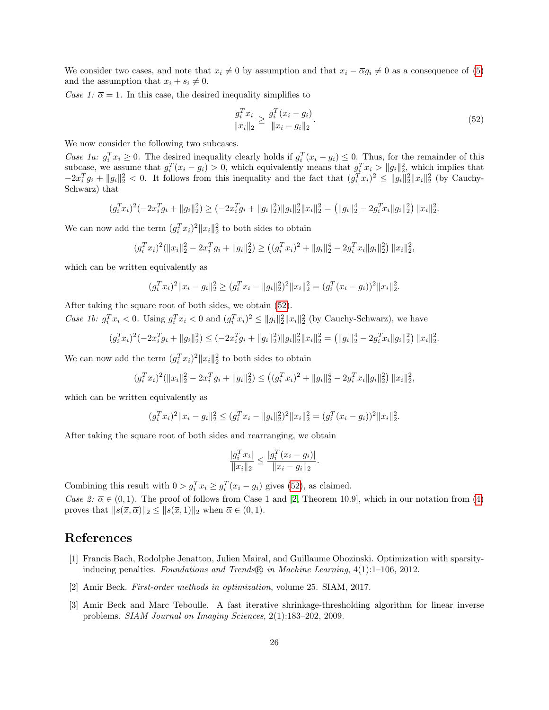We consider two cases, and note that  $x_i \neq 0$  by assumption and that  $x_i - \overline{\alpha} g_i \neq 0$  as a consequence of [\(5\)](#page-3-6) and the assumption that  $x_i + s_i \neq 0$ .

Case 1:  $\bar{\alpha} = 1$ . In this case, the desired inequality simplifies to

<span id="page-25-3"></span>
$$
\frac{g_i^T x_i}{\|x_i\|_2} \ge \frac{g_i^T (x_i - g_i)}{\|x_i - g_i\|_2}.\tag{52}
$$

We now consider the following two subcases.

Case 1a:  $g_i^T x_i \geq 0$ . The desired inequality clearly holds if  $g_i^T (x_i - g_i) \leq 0$ . Thus, for the remainder of this subcase, we assume that  $g_i^T(x_i - g_i) > 0$ , which equivalently means that  $g_i^T x_i > ||g_i||_2^2$ , which implies that  $-2x_i^T g_i + ||g_i||_2^2 < 0$ . It follows from this inequality and the fact that  $(g_i^T x_i)^2 \le ||g_i||_2^2 ||x_i||_2^2$  (by Cauchy-Schwarz) that

$$
(g_i^T x_i)^2(-2x_i^T g_i + ||g_i||_2^2) \geq (-2x_i^T g_i + ||g_i||_2^2) ||g_i||_2^2 ||x_i||_2^2 = (||g_i||_2^4 - 2g_i^T x_i ||g_i||_2^2) ||x_i||_2^2.
$$

We can now add the term  $(g_i^T x_i)^2 ||x_i||_2^2$  to both sides to obtain

$$
(g_i^T x_i)^2 (\|x_i\|_2^2 - 2x_i^T g_i + \|g_i\|_2^2) \ge ((g_i^T x_i)^2 + \|g_i\|_2^4 - 2g_i^T x_i \|g_i\|_2^2) \|x_i\|_2^2,
$$

which can be written equivalently as

$$
(g_i^T x_i)^2 \|x_i - g_i\|_2^2 \ge (g_i^T x_i - \|g_i\|_2^2)^2 \|x_i\|_2^2 = (g_i^T (x_i - g_i))^2 \|x_i\|_2^2.
$$

After taking the square root of both sides, we obtain [\(52\)](#page-25-3).

Case 1b:  $g_i^T x_i < 0$ . Using  $g_i^T x_i < 0$  and  $(g_i^T x_i)^2 \le ||g_i||_2^2 ||x_i||_2^2$  (by Cauchy-Schwarz), we have

$$
(g_i^T x_i)^2(-2x_i^T g_i + \|g_i\|_2^2) \leq (-2x_i^T g_i + \|g_i\|_2^2) \|g_i\|_2^2 \|x_i\|_2^2 = \left( \|g_i\|_2^4 - 2g_i^T x_i \|g_i\|_2^2 \right) \|x_i\|_2^2.
$$

We can now add the term  $(g_i^T x_i)^2 ||x_i||_2^2$  to both sides to obtain

 $(g_i^T x_i)^2 (\|x_i\|_2^2 - 2x_i^T g_i + \|g_i\|_2^2) \leq ((g_i^T x_i)^2 + \|g_i\|_2^4 - 2g_i^T x_i \|g_i\|_2^2) \|x_i\|_2^2,$ 

which can be written equivalently as

$$
(g_i^T x_i)^2 \|x_i - g_i\|_2^2 \le (g_i^T x_i - \|g_i\|_2^2)^2 \|x_i\|_2^2 = (g_i^T (x_i - g_i))^2 \|x_i\|_2^2.
$$

After taking the square root of both sides and rearranging, we obtain

$$
\frac{|g_i^T x_i|}{\|x_i\|_2} \le \frac{|g_i^T (x_i - g_i)|}{\|x_i - g_i\|_2}.
$$

Combining this result with  $0 > g_i^T x_i \ge g_i^T (x_i - g_i)$  gives [\(52\)](#page-25-3), as claimed.

Case 2:  $\bar{\alpha} \in (0, 1)$ . The proof of follows from Case 1 and [\[2,](#page-25-2) Theorem 10.9], which in our notation from [\(4\)](#page-3-1) proves that  $||s(\bar{x}, \bar{\alpha})||_2 \leq ||s(\bar{x}, 1)||_2$  when  $\bar{\alpha} \in (0, 1)$ .

## References

- <span id="page-25-0"></span>[1] Francis Bach, Rodolphe Jenatton, Julien Mairal, and Guillaume Obozinski. Optimization with sparsityinducing penalties. Foundations and Trends  $\mathbb{R}$  in Machine Learning, 4(1):1-106, 2012.
- <span id="page-25-2"></span>[2] Amir Beck. First-order methods in optimization, volume 25. SIAM, 2017.
- <span id="page-25-1"></span>[3] Amir Beck and Marc Teboulle. A fast iterative shrinkage-thresholding algorithm for linear inverse problems. SIAM Journal on Imaging Sciences, 2(1):183–202, 2009.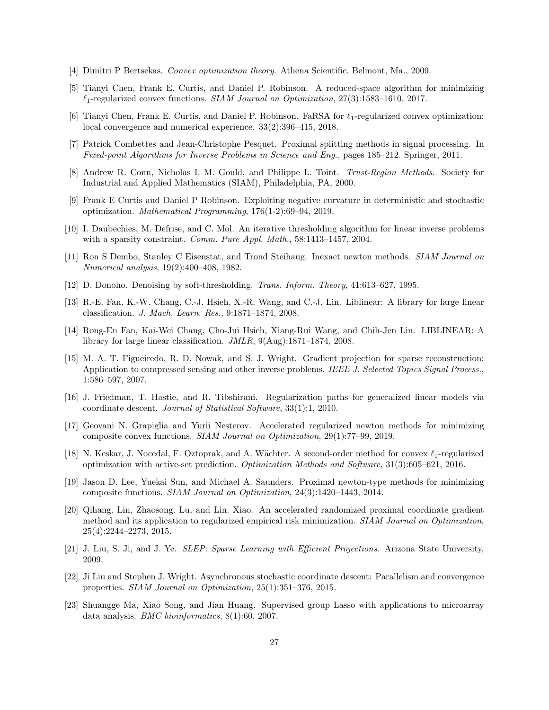- <span id="page-26-19"></span>[4] Dimitri P Bertsekas. Convex optimization theory. Athena Scientific, Belmont, Ma., 2009.
- <span id="page-26-6"></span>[5] Tianyi Chen, Frank E. Curtis, and Daniel P. Robinson. A reduced-space algorithm for minimizing  $\ell_1$ -regularized convex functions. SIAM Journal on Optimization, 27(3):1583–1610, 2017.
- <span id="page-26-7"></span>[6] Tianyi Chen, Frank E. Curtis, and Daniel P. Robinson. FaRSA for  $\ell_1$ -regularized convex optimization: local convergence and numerical experience. 33(2):396–415, 2018.
- <span id="page-26-1"></span>[7] Patrick Combettes and Jean-Christophe Pesquet. Proximal splitting methods in signal processing. In Fixed-point Algorithms for Inverse Problems in Science and Eng., pages 185–212. Springer, 2011.
- <span id="page-26-16"></span>[8] Andrew R. Conn, Nicholas I. M. Gould, and Philippe L. Toint. Trust-Region Methods. Society for Industrial and Applied Mathematics (SIAM), Philadelphia, PA, 2000.
- <span id="page-26-18"></span>[9] Frank E Curtis and Daniel P Robinson. Exploiting negative curvature in deterministic and stochastic optimization. Mathematical Programming, 176(1-2):69–94, 2019.
- <span id="page-26-2"></span>[10] I. Daubechies, M. Defrise, and C. Mol. An iterative thresholding algorithm for linear inverse problems with a sparsity constraint. *Comm. Pure Appl. Math.*, 58:1413-1457, 2004.
- <span id="page-26-17"></span>[11] Ron S Dembo, Stanley C Eisenstat, and Trond Steihaug. Inexact newton methods. SIAM Journal on Numerical analysis, 19(2):400–408, 1982.
- <span id="page-26-3"></span>[12] D. Donoho. Denoising by soft-thresholding. Trans. Inform. Theory, 41:613–627, 1995.
- <span id="page-26-4"></span>[13] R.-E. Fan, K.-W. Chang, C.-J. Hsieh, X.-R. Wang, and C.-J. Lin. Liblinear: A library for large linear classification. J. Mach. Learn. Res., 9:1871–1874, 2008.
- <span id="page-26-15"></span>[14] Rong-En Fan, Kai-Wei Chang, Cho-Jui Hsieh, Xiang-Rui Wang, and Chih-Jen Lin. LIBLINEAR: A library for large linear classification. JMLR, 9(Aug):1871–1874, 2008.
- <span id="page-26-5"></span>[15] M. A. T. Figueiredo, R. D. Nowak, and S. J. Wright. Gradient projection for sparse reconstruction: Application to compressed sensing and other inverse problems. IEEE J. Selected Topics Signal Process., 1:586–597, 2007.
- <span id="page-26-12"></span>[16] J. Friedman, T. Hastie, and R. Tibshirani. Regularization paths for generalized linear models via coordinate descent. Journal of Statistical Software, 33(1):1, 2010.
- <span id="page-26-13"></span>[17] Geovani N. Grapiglia and Yurii Nesterov. Accelerated regularized newton methods for minimizing composite convex functions. SIAM Journal on Optimization, 29(1):77–99, 2019.
- <span id="page-26-8"></span>[18] N. Keskar, J. Nocedal, F. Oztoprak, and A. Wächter. A second-order method for convex  $\ell_1$ -regularized optimization with active-set prediction. Optimization Methods and Software, 31(3):605–621, 2016.
- <span id="page-26-14"></span>[19] Jason D. Lee, Yuekai Sun, and Michael A. Saunders. Proximal newton-type methods for minimizing composite functions. SIAM Journal on Optimization, 24(3):1420–1443, 2014.
- <span id="page-26-9"></span>[20] Qihang. Lin, Zhaosong. Lu, and Lin. Xiao. An accelerated randomized proximal coordinate gradient method and its application to regularized empirical risk minimization. SIAM Journal on Optimization, 25(4):2244–2273, 2015.
- <span id="page-26-11"></span>[21] J. Liu, S. Ji, and J. Ye. SLEP: Sparse Learning with Efficient Projections. Arizona State University, 2009.
- <span id="page-26-10"></span>[22] Ji Liu and Stephen J. Wright. Asynchronous stochastic coordinate descent: Parallelism and convergence properties. SIAM Journal on Optimization, 25(1):351–376, 2015.
- <span id="page-26-0"></span>[23] Shuangge Ma, Xiao Song, and Jian Huang. Supervised group Lasso with applications to microarray data analysis. BMC bioinformatics, 8(1):60, 2007.